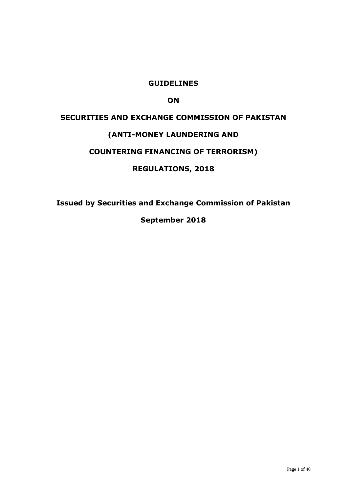# **GUIDELINES**

# **ON**

# **SECURITIES AND EXCHANGE COMMISSION OF PAKISTAN (ANTI-MONEY LAUNDERING AND COUNTERING FINANCING OF TERRORISM) REGULATIONS, 2018**

**Issued by Securities and Exchange Commission of Pakistan**

**September 2018**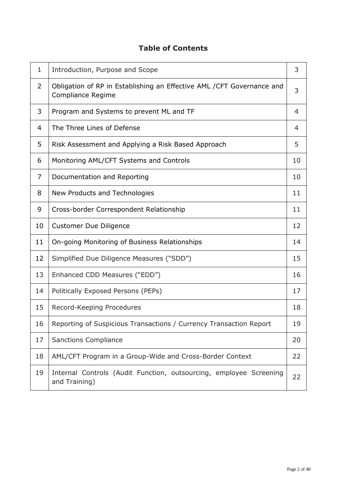# **Table of Contents**

| $\mathbf{1}$ | Introduction, Purpose and Scope                                                             |    |  |  |  |  |  |  |
|--------------|---------------------------------------------------------------------------------------------|----|--|--|--|--|--|--|
| 2            | Obligation of RP in Establishing an Effective AML / CFT Governance and<br>Compliance Regime |    |  |  |  |  |  |  |
| 3            | Program and Systems to prevent ML and TF<br>4                                               |    |  |  |  |  |  |  |
| 4            | The Three Lines of Defense                                                                  |    |  |  |  |  |  |  |
| 5            | Risk Assessment and Applying a Risk Based Approach                                          |    |  |  |  |  |  |  |
| 6            | Monitoring AML/CFT Systems and Controls<br>10                                               |    |  |  |  |  |  |  |
| 7            | Documentation and Reporting<br>10                                                           |    |  |  |  |  |  |  |
| 8            | New Products and Technologies                                                               | 11 |  |  |  |  |  |  |
| 9            | Cross-border Correspondent Relationship<br>11                                               |    |  |  |  |  |  |  |
| 10           | <b>Customer Due Diligence</b>                                                               | 12 |  |  |  |  |  |  |
| 11           | On-going Monitoring of Business Relationships                                               |    |  |  |  |  |  |  |
| 12           | Simplified Due Diligence Measures ("SDD")                                                   | 15 |  |  |  |  |  |  |
| 13           | Enhanced CDD Measures ("EDD")                                                               | 16 |  |  |  |  |  |  |
| 14           | Politically Exposed Persons (PEPs)                                                          | 17 |  |  |  |  |  |  |
| 15           | Record-Keeping Procedures                                                                   | 18 |  |  |  |  |  |  |
| 16           | Reporting of Suspicious Transactions / Currency Transaction Report                          | 19 |  |  |  |  |  |  |
| 17           | <b>Sanctions Compliance</b>                                                                 | 20 |  |  |  |  |  |  |
| 18           | AML/CFT Program in a Group-Wide and Cross-Border Context                                    | 22 |  |  |  |  |  |  |
| 19           | Internal Controls (Audit Function, outsourcing, employee Screening<br>and Training)         | 22 |  |  |  |  |  |  |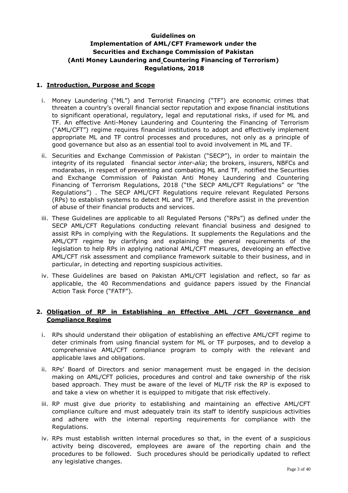# **Guidelines on Implementation of AML/CFT Framework under the Securities and Exchange Commission of Pakistan (Anti Money Laundering and Countering Financing of Terrorism) Regulations, 2018**

# **1. Introduction, Purpose and Scope**

- i. Money Laundering ("ML") and Terrorist Financing ("TF") are economic crimes that threaten a country's overall financial sector reputation and expose financial institutions to significant operational, regulatory, legal and reputational risks, if used for ML and TF. An effective Anti-Money Laundering and Countering the Financing of Terrorism ("AML/CFT") regime requires financial institutions to adopt and effectively implement appropriate ML and TF control processes and procedures, not only as a principle of good governance but also as an essential tool to avoid involvement in ML and TF.
- ii. Securities and Exchange Commission of Pakistan ("SECP"), in order to maintain the integrity of its regulated financial sector *inter-alia*; the brokers, insurers, NBFCs and modarabas, in respect of preventing and combating ML and TF, notified the Securities and Exchange Commission of Pakistan Anti Money Laundering and Countering Financing of Terrorism Regulations, 2018 ("the SECP AML/CFT Regulations" or "the Regulations") . The SECP AML/CFT Regulations require relevant Regulated Persons (RPs) to establish systems to detect ML and TF, and therefore assist in the prevention of abuse of their financial products and services.
- iii. These Guidelines are applicable to all Regulated Persons ("RPs") as defined under the SECP AML/CFT Regulations conducting relevant financial business and designed to assist RPs in complying with the Regulations. It supplements the Regulations and the AML/CFT regime by clarifying and explaining the general requirements of the legislation to help RPs in applying national AML/CFT measures, developing an effective AML/CFT risk assessment and compliance framework suitable to their business, and in particular, in detecting and reporting suspicious activities.
- iv. These Guidelines are based on Pakistan AML/CFT legislation and reflect, so far as applicable, the 40 Recommendations and guidance papers issued by the Financial Action Task Force ("FATF").

## **2. Obligation of RP in Establishing an Effective AML /CFT Governance and Compliance Regime**

- i. RPs should understand their obligation of establishing an effective AML/CFT regime to deter criminals from using financial system for ML or TF purposes, and to develop a comprehensive AML/CFT compliance program to comply with the relevant and applicable laws and obligations.
- ii. RPs' Board of Directors and senior management must be engaged in the decision making on AML/CFT policies, procedures and control and take ownership of the risk based approach. They must be aware of the level of ML/TF risk the RP is exposed to and take a view on whether it is equipped to mitigate that risk effectively.
- iii. RP must give due priority to establishing and maintaining an effective AML/CFT compliance culture and must adequately train its staff to identify suspicious activities and adhere with the internal reporting requirements for compliance with the Regulations.
- iv. RPs must establish written internal procedures so that, in the event of a suspicious activity being discovered, employees are aware of the reporting chain and the procedures to be followed. Such procedures should be periodically updated to reflect any legislative changes.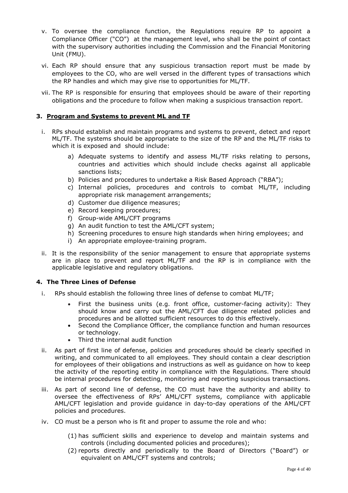- v. To oversee the compliance function, the Regulations require RP to appoint a Compliance Officer ("CO") at the management level, who shall be the point of contact with the supervisory authorities including the Commission and the Financial Monitoring Unit (FMU).
- vi. Each RP should ensure that any suspicious transaction report must be made by employees to the CO, who are well versed in the different types of transactions which the RP handles and which may give rise to opportunities for ML/TF.
- vii. The RP is responsible for ensuring that employees should be aware of their reporting obligations and the procedure to follow when making a suspicious transaction report.

## **3. Program and Systems to prevent ML and TF**

- i. RPs should establish and maintain programs and systems to prevent, detect and report ML/TF. The systems should be appropriate to the size of the RP and the ML/TF risks to which it is exposed and should include:
	- a) Adequate systems to identify and assess ML/TF risks relating to persons, countries and activities which should include checks against all applicable sanctions lists;
	- b) Policies and procedures to undertake a Risk Based Approach ("RBA");
	- c) Internal policies, procedures and controls to combat ML/TF, including appropriate risk management arrangements;
	- d) Customer due diligence measures;
	- e) Record keeping procedures;
	- f) Group-wide AML/CFT programs
	- g) An audit function to test the AML/CFT system;
	- h) Screening procedures to ensure high standards when hiring employees; and
	- i) An appropriate employee-training program.
- ii. It is the responsibility of the senior management to ensure that appropriate systems are in place to prevent and report ML/TF and the RP is in compliance with the applicable legislative and regulatory obligations.

### **4. The Three Lines of Defense**

- i. RPs should establish the following three lines of defense to combat ML/TF;
	- First the business units (e.g. front office, customer-facing activity): They should know and carry out the AML/CFT due diligence related policies and procedures and be allotted sufficient resources to do this effectively.
	- Second the Compliance Officer, the compliance function and human resources or technology.
	- Third the internal audit function
- ii. As part of first line of defense, policies and procedures should be clearly specified in writing, and communicated to all employees. They should contain a clear description for employees of their obligations and instructions as well as guidance on how to keep the activity of the reporting entity in compliance with the Regulations. There should be internal procedures for detecting, monitoring and reporting suspicious transactions.
- iii. As part of second line of defense, the CO must have the authority and ability to oversee the effectiveness of RPs' AML/CFT systems, compliance with applicable AML/CFT legislation and provide guidance in day-to-day operations of the AML/CFT policies and procedures.
- iv. CO must be a person who is fit and proper to assume the role and who:
	- (1) has sufficient skills and experience to develop and maintain systems and controls (including documented policies and procedures);
	- (2) reports directly and periodically to the Board of Directors ("Board") or equivalent on AML/CFT systems and controls;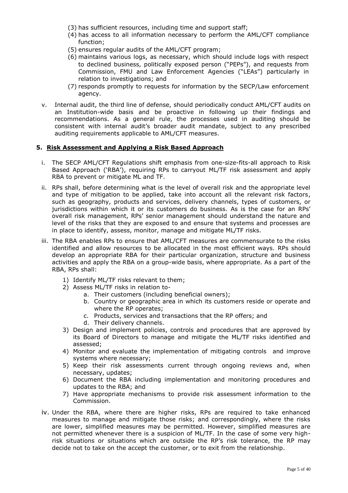- (3) has sufficient resources, including time and support staff;
- (4) has access to all information necessary to perform the AML/CFT compliance function;
- (5) ensures regular audits of the AML/CFT program;
- (6) maintains various logs, as necessary, which should include logs with respect to declined business, politically exposed person ("PEPs"), and requests from Commission, FMU and Law Enforcement Agencies ("LEAs") particularly in relation to investigations; and
- (7) responds promptly to requests for information by the SECP/Law enforcement agency.
- v. Internal audit, the third line of defense, should periodically conduct AML/CFT audits on an Institution-wide basis and be proactive in following up their findings and recommendations. As a general rule, the processes used in auditing should be consistent with internal audit's broader audit mandate, subject to any prescribed auditing requirements applicable to AML/CFT measures.

#### **5. Risk Assessment and Applying a Risk Based Approach**

- i. The SECP AML/CFT Regulations shift emphasis from one-size-fits-all approach to Risk Based Approach ('RBA'), requiring RPs to carryout ML/TF risk assessment and apply RBA to prevent or mitigate ML and TF.
- ii. RPs shall, before determining what is the level of overall risk and the appropriate level and type of mitigation to be applied, take into account all the relevant risk factors, such as geography, products and services, delivery channels, types of customers, or jurisdictions within which it or its customers do business. As is the case for an RPs' overall risk management, RPs' senior management should understand the nature and level of the risks that they are exposed to and ensure that systems and processes are in place to identify, assess, monitor, manage and mitigate ML/TF risks.
- iii. The RBA enables RPs to ensure that AML/CFT measures are commensurate to the risks identified and allow resources to be allocated in the most efficient ways. RPs should develop an appropriate RBA for their particular organization, structure and business activities and apply the RBA on a group-wide basis, where appropriate. As a part of the RBA, RPs shall:
	- 1) Identify ML/TF risks relevant to them;
	- 2) Assess ML/TF risks in relation to
		- a. Their customers (including beneficial owners);
		- b. Country or geographic area in which its customers reside or operate and where the RP operates;
		- c. Products, services and transactions that the RP offers; and
		- d. Their delivery channels.
	- 3) Design and implement policies, controls and procedures that are approved by its Board of Directors to manage and mitigate the ML/TF risks identified and assessed;
	- 4) Monitor and evaluate the implementation of mitigating controls and improve systems where necessary;
	- 5) Keep their risk assessments current through ongoing reviews and, when necessary, updates;
	- 6) Document the RBA including implementation and monitoring procedures and updates to the RBA; and
	- 7) Have appropriate mechanisms to provide risk assessment information to the Commission.
- iv. Under the RBA, where there are higher risks, RPs are required to take enhanced measures to manage and mitigate those risks; and correspondingly, where the risks are lower, simplified measures may be permitted. However, simplified measures are not permitted whenever there is a suspicion of ML/TF. In the case of some very highrisk situations or situations which are outside the RP's risk tolerance, the RP may decide not to take on the accept the customer, or to exit from the relationship.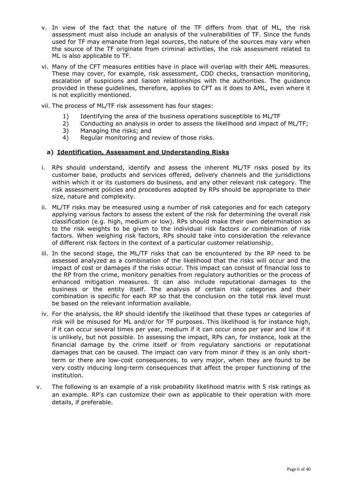- v. In view of the fact that the nature of the TF differs from that of ML, the risk assessment must also include an analysis of the vulnerabilities of TF. Since the funds used for TF may emanate from legal sources, the nature of the sources may vary when the source of the TF originate from criminal activities, the risk assessment related to ML is also applicable to TF.
- vi. Many of the CFT measures entities have in place will overlap with their AML measures. These may cover, for example, risk assessment, CDD checks, transaction monitoring, escalation of suspicions and liaison relationships with the authorities. The guidance provided in these guidelines, therefore, applies to CFT as it does to AML, even where it is not explicitly mentioned.
- vii. The process of ML/TF risk assessment has four stages:
	- 1) Identifying the area of the business operations susceptible to ML/TF
	- 2) Conducting an analysis in order to assess the likelihood and impact of ML/TF;
	- 3) Managing the risks; and
	- 4) Regular monitoring and review of those risks.

#### **a) Identification, Assessment and Understanding Risks**

- i. RPs should understand, identify and assess the inherent ML/TF risks posed by its customer base, products and services offered, delivery channels and the jurisdictions within which it or its customers do business, and any other relevant risk category. The risk assessment policies and procedures adopted by RPs should be appropriate to their size, nature and complexity.
- ii. ML/TF risks may be measured using a number of risk categories and for each category applying various factors to assess the extent of the risk for determining the overall risk classification (e.g. high, medium or low). RPs should make their own determination as to the risk weights to be given to the individual risk factors or combination of risk factors. When weighing risk factors, RPs should take into consideration the relevance of different risk factors in the context of a particular customer relationship.
- iii. In the second stage, the ML/TF risks that can be encountered by the RP need to be assessed analyzed as a combination of the likelihood that the risks will occur and the impact of cost or damages if the risks occur. This impact can consist of financial loss to the RP from the crime, monitory penalties from regulatory authorities or the process of enhanced mitigation measures. It can also include reputational damages to the business or the entity itself. The analysis of certain risk categories and their combination is specific for each RP so that the conclusion on the total risk level must be based on the relevant information available.
- iv. For the analysis, the RP should identify the likelihood that these types or categories of risk will be misused for ML and/or for TF purposes. This likelihood is for instance high, if it can occur several times per year, medium if it can occur once per year and low if it is unlikely, but not possible. In assessing the impact, RPs can, for instance, look at the financial damage by the crime itself or from regulatory sanctions or reputational damages that can be caused. The impact can vary from minor if they is an only shortterm or there are low-cost consequences, to very major, when they are found to be very costly inducing long-term consequences that affect the proper functioning of the institution.
- v. The following is an example of a risk probability likelihood matrix with 5 risk ratings as an example. RP's can customize their own as applicable to their operation with more details, if preferable.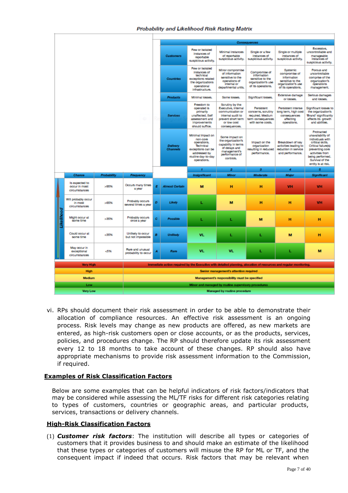|                    |                                                  |                    |                                          |                                                                                                                            | Consequences                                                                                                           |                                                                                                                                       |                                                                                                                             |                                                                                                |                                                                                                             |                                                                                                                                                                                                   |  |  |
|--------------------|--------------------------------------------------|--------------------|------------------------------------------|----------------------------------------------------------------------------------------------------------------------------|------------------------------------------------------------------------------------------------------------------------|---------------------------------------------------------------------------------------------------------------------------------------|-----------------------------------------------------------------------------------------------------------------------------|------------------------------------------------------------------------------------------------|-------------------------------------------------------------------------------------------------------------|---------------------------------------------------------------------------------------------------------------------------------------------------------------------------------------------------|--|--|
|                    |                                                  |                    | <b>Customers</b>                         | I ew or isolated<br>instances of<br>reportable<br>suspicious activity.                                                     | Minimal instances<br>of reportable<br>suspicious activity.                                                             | Single or a few<br>instances of<br>suspicious activity.                                                                               | Single or multiple<br>instances of<br>suspicious activity.                                                                  | Excessive,<br>uncontrollable and<br>manageable<br>instances of<br>suspicious activity.         |                                                                                                             |                                                                                                                                                                                                   |  |  |
|                    |                                                  |                    | <b>Countries</b>                         | I ew or isolated<br>instances of<br>technical<br>exceptions related<br>the organizations<br>operational<br>infrastructure. | Minor compromise<br>of information<br>sensitive to the<br>operations of<br>internal or<br>departmental units.          | Compromise of<br><b>Information</b><br>sensitive to the<br>organization's use<br>of its operations.                                   | Systemic<br>compromise of<br>information<br>sensitive to the<br>organization's use<br>of its operations.                    | Porous and<br>uncontrollable<br>comprise of the<br>organization's<br>operations<br>management. |                                                                                                             |                                                                                                                                                                                                   |  |  |
|                    |                                                  |                    |                                          |                                                                                                                            | <b>Products</b>                                                                                                        | Minimal losses.                                                                                                                       | Some losses.                                                                                                                | Significant losses.                                                                            | Extensive damage<br>or losses.                                                                              | Serious damages<br>and losses.                                                                                                                                                                    |  |  |
|                    |                                                  |                    | R,                                       | Services                                                                                                                   | Freedom to<br>operated is<br>primarily<br>unaffected, Self<br>assessment and<br><i>improvements</i><br>should suffice. | Scrutiny by the<br>Executive, internal<br>communication or<br>internal audit to<br>prevent short term<br>or low cost<br>consequences. | Persistent<br>concerns, scrutiny<br>required. Medium<br>term consequences<br>with some costs.                               | Persistent intense<br>long term, high cost<br>consequences<br>affecting<br>operations.         | Significant losses to<br>the organization's<br>Brand' significantly<br>affects its growth<br>and abilities. |                                                                                                                                                                                                   |  |  |
|                    |                                                  |                    |                                          |                                                                                                                            | <b>Dalivery</b><br>Channels                                                                                            | Minimal Impact on<br>non-com<br>operations.<br>Technical<br>exceptions can be<br>addressed by<br>routine day-to-day<br>operations.    | Some impact on<br>the organization's<br>capability in terms<br>of delays and<br>management's<br>performance of<br>controls. | Impact on the<br>organization<br>resulting in reduced<br>performance.                          | Breakdown of key<br>activities leading to<br>reduction in service<br>and performance.                       | Protracted<br>unavailability of<br>individuals with<br>critical skills.<br>Critical failure(s)<br>preventing core<br>activities from<br>being performed.<br>Survival of the<br>entity is at risk. |  |  |
|                    |                                                  |                    |                                          |                                                                                                                            |                                                                                                                        |                                                                                                                                       |                                                                                                                             |                                                                                                |                                                                                                             |                                                                                                                                                                                                   |  |  |
|                    |                                                  |                    |                                          |                                                                                                                            |                                                                                                                        | 1                                                                                                                                     | 2                                                                                                                           | з                                                                                              | 4                                                                                                           | 5                                                                                                                                                                                                 |  |  |
|                    | <b>Chance</b>                                    | <b>Probability</b> | Frequency                                |                                                                                                                            |                                                                                                                        | <b>Insignificant</b>                                                                                                                  | Minor                                                                                                                       | <b>Moderate</b>                                                                                | Major                                                                                                       | Significant                                                                                                                                                                                       |  |  |
|                    | Is expected to<br>occur in most<br>circumstances | >95%               | Occurs many times<br>a year              | Ε                                                                                                                          | <b>Almost Certain</b>                                                                                                  | M                                                                                                                                     | н                                                                                                                           | н                                                                                              | <b>VH</b>                                                                                                   | VH                                                                                                                                                                                                |  |  |
|                    | Will probably occur<br>in most<br>circumstances  | >65%               | Probably occurs<br>several times a year  | D                                                                                                                          | Likely                                                                                                                 | L                                                                                                                                     | м                                                                                                                           | н                                                                                              | н                                                                                                           | VH.                                                                                                                                                                                               |  |  |
| <b>Like lihood</b> | Might occur at<br>some time                      | >35%               | Probably occurs<br>once a year           | c                                                                                                                          | Possible                                                                                                               | L                                                                                                                                     | L                                                                                                                           | м                                                                                              | н                                                                                                           | н                                                                                                                                                                                                 |  |  |
|                    | Could occur at<br>some time                      | $-35%$             | Unlikely to occur<br>but not impossible  | в                                                                                                                          | <b>Unikely</b>                                                                                                         | VL                                                                                                                                    | L                                                                                                                           | L                                                                                              | M                                                                                                           | н                                                                                                                                                                                                 |  |  |
|                    | May occur in<br>exceptional<br>circumstances     | -5%                | Rare and unusual<br>probability to occur | A                                                                                                                          | Raro                                                                                                                   | VL                                                                                                                                    | VL.                                                                                                                         | L                                                                                              | L                                                                                                           | м                                                                                                                                                                                                 |  |  |
|                    | <b>Very High</b>                                 |                    |                                          |                                                                                                                            |                                                                                                                        |                                                                                                                                       | Immediate action required by the Executive with detailed planning, alocation of resources and regular monitoring.           |                                                                                                |                                                                                                             |                                                                                                                                                                                                   |  |  |
|                    | <b>High</b>                                      |                    |                                          |                                                                                                                            |                                                                                                                        |                                                                                                                                       | Senior management's attention required                                                                                      |                                                                                                |                                                                                                             |                                                                                                                                                                                                   |  |  |
|                    | Medium                                           |                    |                                          |                                                                                                                            |                                                                                                                        |                                                                                                                                       | Management's responsibility must be specified                                                                               |                                                                                                |                                                                                                             |                                                                                                                                                                                                   |  |  |
|                    | Low                                              |                    |                                          |                                                                                                                            |                                                                                                                        |                                                                                                                                       | Minor and managed by routine supervisory procedures                                                                         |                                                                                                |                                                                                                             |                                                                                                                                                                                                   |  |  |

vi. RPs should document their risk assessment in order to be able to demonstrate their allocation of compliance resources. An effective risk assessment is an ongoing process. Risk levels may change as new products are offered, as new markets are entered, as high-risk customers open or close accounts, or as the products, services, policies, and procedures change. The RP should therefore update its risk assessment every 12 to 18 months to take account of these changes. RP should also have appropriate mechanisms to provide risk assessment information to the Commission, if required.

### **Examples of Risk Classification Factors**

Below are some examples that can be helpful indicators of risk factors/indicators that may be considered while assessing the ML/TF risks for different risk categories relating to types of customers, countries or geographic areas, and particular products, services, transactions or delivery channels.

### **High-Risk Classification Factors**

(1) *Customer risk factors*: The institution will describe all types or categories of customers that it provides business to and should make an estimate of the likelihood that these types or categories of customers will misuse the RP for ML or TF, and the consequent impact if indeed that occurs. Risk factors that may be relevant when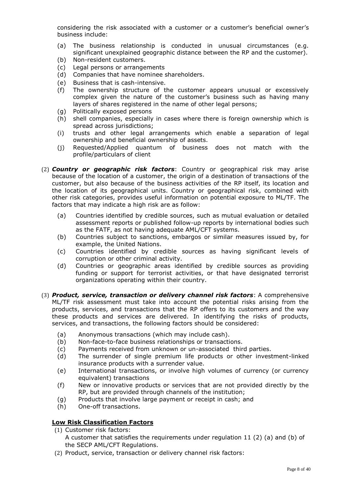considering the risk associated with a customer or a customer's beneficial owner's business include:

- (a) The business relationship is conducted in unusual circumstances (e.g. significant unexplained geographic distance between the RP and the customer).
- (b) Non-resident customers.
- (c) Legal persons or arrangements
- (d) Companies that have nominee shareholders.
- (e) Business that is cash-intensive.
- (f) The ownership structure of the customer appears unusual or excessively complex given the nature of the customer's business such as having many layers of shares registered in the name of other legal persons;
- (g) Politically exposed persons
- (h) shell companies, especially in cases where there is foreign ownership which is spread across jurisdictions;
- (i) trusts and other legal arrangements which enable a separation of legal ownership and beneficial ownership of assets.
- (j) Requested/Applied quantum of business does not match with the profile/particulars of client
- (2) *Country or geographic risk factors*: Country or geographical risk may arise because of the location of a customer, the origin of a destination of transactions of the customer, but also because of the business activities of the RP itself, its location and the location of its geographical units. Country or geographical risk, combined with other risk categories, provides useful information on potential exposure to ML/TF. The factors that may indicate a high risk are as follow:
	- (a) Countries identified by credible sources, such as mutual evaluation or detailed assessment reports or published follow-up reports by international bodies such as the FATF, as not having adequate AML/CFT systems.
	- (b) Countries subject to sanctions, embargos or similar measures issued by, for example, the United Nations.
	- (c) Countries identified by credible sources as having significant levels of corruption or other criminal activity.
	- (d) Countries or geographic areas identified by credible sources as providing funding or support for terrorist activities, or that have designated terrorist organizations operating within their country.
- (3) *Product, service, transaction or delivery channel risk factors*: A comprehensive ML/TF risk assessment must take into account the potential risks arising from the products, services, and transactions that the RP offers to its customers and the way these products and services are delivered. In identifying the risks of products, services, and transactions, the following factors should be considered:
	- (a) Anonymous transactions (which may include cash).
	- (b) Non-face-to-face business relationships or transactions.
	- (c) Payments received from unknown or un-associated third parties.
	- (d) The surrender of single premium life products or other investment-linked insurance products with a surrender value.
	- (e) International transactions, or involve high volumes of currency (or currency equivalent) transactions
	- (f) New or innovative products or services that are not provided directly by the RP, but are provided through channels of the institution;
	- (g) Products that involve large payment or receipt in cash; and
	- (h) One-off transactions.

# **Low Risk Classification Factors**

- (1) Customer risk factors:
	- A customer that satisfies the requirements under regulation 11 (2) (a) and (b) of the SECP AML/CFT Regulations.
- (2) Product, service, transaction or delivery channel risk factors: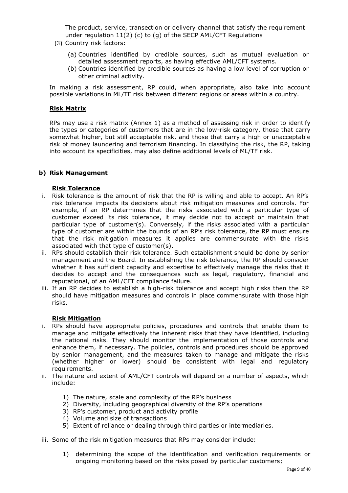The product, service, transection or delivery channel that satisfy the requirement under regulation 11(2) (c) to (g) of the SECP AML/CFT Regulations

- (3) Country risk factors: Ì
	- (a) Countries identified by credible sources, such as mutual evaluation or detailed assessment reports, as having effective AML/CFT systems.
	- (b) Countries identified by credible sources as having a low level of corruption or other criminal activity.

In making a risk assessment, RP could, when appropriate, also take into account possible variations in ML/TF risk between different regions or areas within a country.

### **Risk Matrix**

RPs may use a risk matrix (Annex 1) as a method of assessing risk in order to identify the types or categories of customers that are in the low-risk category, those that carry somewhat higher, but still acceptable risk, and those that carry a high or unacceptable risk of money laundering and terrorism financing. In classifying the risk, the RP, taking into account its specificities, may also define additional levels of ML/TF risk.

# **b) Risk Management**

#### **Risk Tolerance**

- i. Risk tolerance is the amount of risk that the RP is willing and able to accept. An RP's risk tolerance impacts its decisions about risk mitigation measures and controls. For example, if an RP determines that the risks associated with a particular type of customer exceed its risk tolerance, it may decide not to accept or maintain that particular type of customer(s). Conversely, if the risks associated with a particular type of customer are within the bounds of an RP's risk tolerance, the RP must ensure that the risk mitigation measures it applies are commensurate with the risks associated with that type of customer(s).
- ii. RPs should establish their risk tolerance. Such establishment should be done by senior management and the Board. In establishing the risk tolerance, the RP should consider whether it has sufficient capacity and expertise to effectively manage the risks that it decides to accept and the consequences such as legal, regulatory, financial and reputational, of an AML/CFT compliance failure.
- iii. If an RP decides to establish a high-risk tolerance and accept high risks then the RP should have mitigation measures and controls in place commensurate with those high risks.

### **Risk Mitigation**

- i. RPs should have appropriate policies, procedures and controls that enable them to manage and mitigate effectively the inherent risks that they have identified, including the national risks. They should monitor the implementation of those controls and enhance them, if necessary. The policies, controls and procedures should be approved by senior management, and the measures taken to manage and mitigate the risks (whether higher or lower) should be consistent with legal and regulatory requirements.
- ii. The nature and extent of AML/CFT controls will depend on a number of aspects, which include:
	- 1) The nature, scale and complexity of the RP's business
	- 2) Diversity, including geographical diversity of the RP's operations
	- 3) RP's customer, product and activity profile
	- 4) Volume and size of transactions
	- 5) Extent of reliance or dealing through third parties or intermediaries.
- iii. Some of the risk mitigation measures that RPs may consider include:
	- 1) determining the scope of the identification and verification requirements or ongoing monitoring based on the risks posed by particular customers;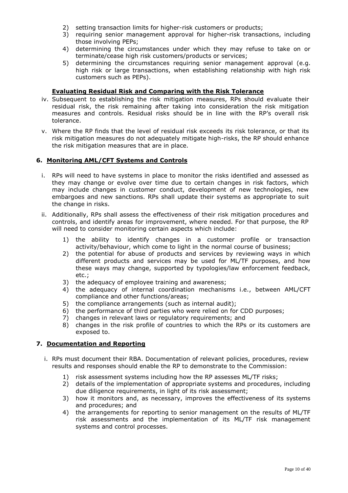- 2) setting transaction limits for higher-risk customers or products;
- 3) requiring senior management approval for higher-risk transactions, including those involving PEPs;
- 4) determining the circumstances under which they may refuse to take on or terminate/cease high risk customers/products or services;
- 5) determining the circumstances requiring senior management approval (e.g. high risk or large transactions, when establishing relationship with high risk customers such as PEPs).

# **Evaluating Residual Risk and Comparing with the Risk Tolerance**

- iv. Subsequent to establishing the risk mitigation measures, RPs should evaluate their residual risk, the risk remaining after taking into consideration the risk mitigation measures and controls. Residual risks should be in line with the RP's overall risk tolerance.
- v. Where the RP finds that the level of residual risk exceeds its risk tolerance, or that its risk mitigation measures do not adequately mitigate high-risks, the RP should enhance the risk mitigation measures that are in place.

## **6. Monitoring AML/CFT Systems and Controls**

- i. RPs will need to have systems in place to monitor the risks identified and assessed as they may change or evolve over time due to certain changes in risk factors, which may include changes in customer conduct, development of new technologies, new embargoes and new sanctions. RPs shall update their systems as appropriate to suit the change in risks.
- ii. Additionally, RPs shall assess the effectiveness of their risk mitigation procedures and controls, and identify areas for improvement, where needed. For that purpose, the RP will need to consider monitoring certain aspects which include:
	- 1) the ability to identify changes in a customer profile or transaction activity/behaviour, which come to light in the normal course of business;
	- 2) the potential for abuse of products and services by reviewing ways in which different products and services may be used for ML/TF purposes, and how these ways may change, supported by typologies/law enforcement feedback, etc.;
	- 3) the adequacy of employee training and awareness;
	- 4) the adequacy of internal coordination mechanisms i.e., between AML/CFT compliance and other functions/areas;
	- 5) the compliance arrangements (such as internal audit);
	- 6) the performance of third parties who were relied on for CDD purposes;
	- 7) changes in relevant laws or regulatory requirements; and
	- 8) changes in the risk profile of countries to which the RPs or its customers are exposed to.

# **7. Documentation and Reporting**

- i. RPs must document their RBA. Documentation of relevant policies, procedures, review results and responses should enable the RP to demonstrate to the Commission:
	- 1) risk assessment systems including how the RP assesses ML/TF risks;
	- 2) details of the implementation of appropriate systems and procedures, including due diligence requirements, in light of its risk assessment;
	- 3) how it monitors and, as necessary, improves the effectiveness of its systems and procedures; and
	- 4) the arrangements for reporting to senior management on the results of ML/TF risk assessments and the implementation of its ML/TF risk management systems and control processes.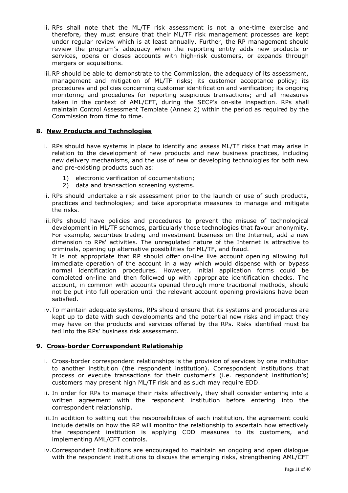- ii. RPs shall note that the ML/TF risk assessment is not a one-time exercise and therefore, they must ensure that their ML/TF risk management processes are kept under regular review which is at least annually. Further, the RP management should review the program's adequacy when the reporting entity adds new products or services, opens or closes accounts with high-risk customers, or expands through mergers or acquisitions.
- iii.RP should be able to demonstrate to the Commission, the adequacy of its assessment, management and mitigation of ML/TF risks; its customer acceptance policy; its procedures and policies concerning customer identification and verification; its ongoing monitoring and procedures for reporting suspicious transactions; and all measures taken in the context of AML/CFT, during the SECP's on-site inspection. RPs shall maintain Control Assessment Template (Annex 2) within the period as required by the Commission from time to time.

## **8. New Products and Technologies**

- i. RPs should have systems in place to identify and assess ML/TF risks that may arise in relation to the development of new products and new business practices, including new delivery mechanisms, and the use of new or developing technologies for both new and pre-existing products such as:
	- 1) electronic verification of documentation;
	- 2) data and transaction screening systems.
- ii. RPs should undertake a risk assessment prior to the launch or use of such products, practices and technologies; and take appropriate measures to manage and mitigate the risks.
- iii.RPs should have policies and procedures to prevent the misuse of technological development in ML/TF schemes, particularly those technologies that favour anonymity. For example, securities trading and investment business on the Internet, add a new dimension to RPs' activities. The unregulated nature of the Internet is attractive to criminals, opening up alternative possibilities for ML/TF, and fraud.

It is not appropriate that RP should offer on-line live account opening allowing full immediate operation of the account in a way which would dispense with or bypass normal identification procedures. However, initial application forms could be completed on-line and then followed up with appropriate identification checks. The account, in common with accounts opened through more traditional methods, should not be put into full operation until the relevant account opening provisions have been satisfied.

iv.To maintain adequate systems, RPs should ensure that its systems and procedures are kept up to date with such developments and the potential new risks and impact they may have on the products and services offered by the RPs. Risks identified must be fed into the RPs' business risk assessment.

### **9. Cross-border Correspondent Relationship**

- i. Cross-border correspondent relationships is the provision of services by one institution to another institution (the respondent institution). Correspondent institutions that process or execute transactions for their customer's (i.e. respondent institution's) customers may present high ML/TF risk and as such may require EDD.
- ii. In order for RPs to manage their risks effectively, they shall consider entering into a written agreement with the respondent institution before entering into the correspondent relationship.
- iii. In addition to setting out the responsibilities of each institution, the agreement could include details on how the RP will monitor the relationship to ascertain how effectively the respondent institution is applying CDD measures to its customers, and implementing AML/CFT controls.
- iv.Correspondent Institutions are encouraged to maintain an ongoing and open dialogue with the respondent institutions to discuss the emerging risks, strengthening AML/CFT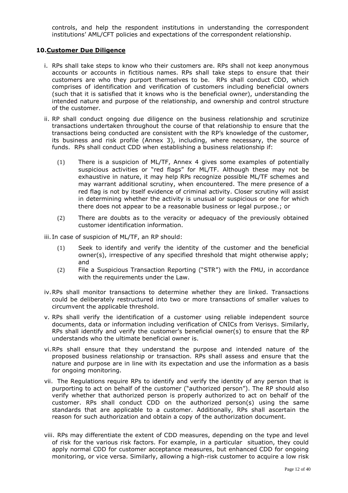controls, and help the respondent institutions in understanding the correspondent institutions' AML/CFT policies and expectations of the correspondent relationship.

#### **10.Customer Due Diligence**

- i. RPs shall take steps to know who their customers are. RPs shall not keep anonymous accounts or accounts in fictitious names. RPs shall take steps to ensure that their customers are who they purport themselves to be. RPs shall conduct CDD, which comprises of identification and verification of customers including beneficial owners (such that it is satisfied that it knows who is the beneficial owner), understanding the intended nature and purpose of the relationship, and ownership and control structure of the customer.
- ii. RP shall conduct ongoing due diligence on the business relationship and scrutinize transactions undertaken throughout the course of that relationship to ensure that the transactions being conducted are consistent with the RP's knowledge of the customer, its business and risk profile (Annex 3), including, where necessary, the source of funds. RPs shall conduct CDD when establishing a business relationship if:
	- (1) There is a suspicion of ML/TF, Annex 4 gives some examples of potentially suspicious activities or "red flags" for ML/TF. Although these may not be exhaustive in nature, it may help RPs recognize possible ML/TF schemes and may warrant additional scrutiny, when encountered. The mere presence of a red flag is not by itself evidence of criminal activity. Closer scrutiny will assist in determining whether the activity is unusual or suspicious or one for which there does not appear to be a reasonable business or legal purpose.; or
	- (2) There are doubts as to the veracity or adequacy of the previously obtained customer identification information.

iii. In case of suspicion of ML/TF, an RP should:

- (1) Seek to identify and verify the identity of the customer and the beneficial owner(s), irrespective of any specified threshold that might otherwise apply; and
- (2) File a Suspicious Transaction Reporting ("STR") with the FMU, in accordance with the requirements under the Law.
- iv.RPs shall monitor transactions to determine whether they are linked. Transactions could be deliberately restructured into two or more transactions of smaller values to circumvent the applicable threshold.
- v. RPs shall verify the identification of a customer using reliable independent source documents, data or information including verification of CNICs from Verisys. Similarly, RPs shall identify and verify the customer's beneficial owner(s) to ensure that the RP understands who the ultimate beneficial owner is.
- vi.RPs shall ensure that they understand the purpose and intended nature of the proposed business relationship or transaction. RPs shall assess and ensure that the nature and purpose are in line with its expectation and use the information as a basis for ongoing monitoring.
- vii. The Regulations require RPs to identify and verify the identity of any person that is purporting to act on behalf of the customer ("authorized person"). The RP should also verify whether that authorized person is properly authorized to act on behalf of the customer. RPs shall conduct CDD on the authorized person(s) using the same standards that are applicable to a customer. Additionally, RPs shall ascertain the reason for such authorization and obtain a copy of the authorization document.
- viii. RPs may differentiate the extent of CDD measures, depending on the type and level of risk for the various risk factors. For example, in a particular situation, they could apply normal CDD for customer acceptance measures, but enhanced CDD for ongoing monitoring, or vice versa. Similarly, allowing a high-risk customer to acquire a low risk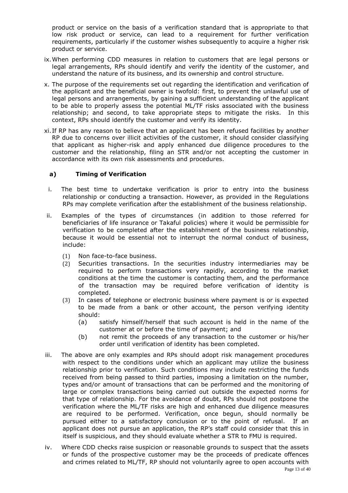product or service on the basis of a verification standard that is appropriate to that low risk product or service, can lead to a requirement for further verification requirements, particularly if the customer wishes subsequently to acquire a higher risk product or service.

- ix.When performing CDD measures in relation to customers that are legal persons or legal arrangements, RPs should identify and verify the identity of the customer, and understand the nature of its business, and its ownership and control structure.
- x. The purpose of the requirements set out regarding the identification and verification of the applicant and the beneficial owner is twofold: first, to prevent the unlawful use of legal persons and arrangements, by gaining a sufficient understanding of the applicant to be able to properly assess the potential ML/TF risks associated with the business relationship; and second, to take appropriate steps to mitigate the risks. In this context, RPs should identify the customer and verify its identity.
- xi. If RP has any reason to believe that an applicant has been refused facilities by another RP due to concerns over illicit activities of the customer, it should consider classifying that applicant as higher-risk and apply enhanced due diligence procedures to the customer and the relationship, filing an STR and/or not accepting the customer in accordance with its own risk assessments and procedures.

# **a) Timing of Verification**

- i. The best time to undertake verification is prior to entry into the business relationship or conducting a transaction. However, as provided in the Regulations RPs may complete verification after the establishment of the business relationship.
- ii. Examples of the types of circumstances (in addition to those referred for beneficiaries of life insurance or Takaful policies) where it would be permissible for verification to be completed after the establishment of the business relationship, because it would be essential not to interrupt the normal conduct of business, include:
	- (1) Non face-to-face business.
	- (2) Securities transactions. In the securities industry intermediaries may be required to perform transactions very rapidly, according to the market conditions at the time the customer is contacting them, and the performance of the transaction may be required before verification of identity is completed.
	- (3) In cases of telephone or electronic business where payment is or is expected to be made from a bank or other account, the person verifying identity should:
		- (a) satisfy himself/herself that such account is held in the name of the customer at or before the time of payment; and
		- (b) not remit the proceeds of any transaction to the customer or his/her order until verification of identity has been completed.
- iii. The above are only examples and RPs should adopt risk management procedures with respect to the conditions under which an applicant may utilize the business relationship prior to verification. Such conditions may include restricting the funds received from being passed to third parties, imposing a limitation on the number, types and/or amount of transactions that can be performed and the monitoring of large or complex transactions being carried out outside the expected norms for that type of relationship. For the avoidance of doubt, RPs should not postpone the verification where the ML/TF risks are high and enhanced due diligence measures are required to be performed. Verification, once begun, should normally be pursued either to a satisfactory conclusion or to the point of refusal. If an applicant does not pursue an application, the RP's staff could consider that this in itself is suspicious, and they should evaluate whether a STR to FMU is required.
- iv. Where CDD checks raise suspicion or reasonable grounds to suspect that the assets or funds of the prospective customer may be the proceeds of predicate offences and crimes related to ML/TF, RP should not voluntarily agree to open accounts with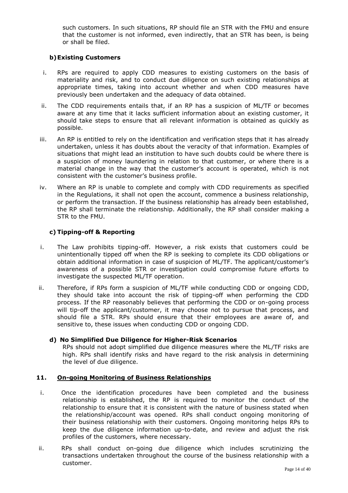such customers. In such situations, RP should file an STR with the FMU and ensure that the customer is not informed, even indirectly, that an STR has been, is being or shall be filed.

### **b)Existing Customers**

- i. RPs are required to apply CDD measures to existing customers on the basis of materiality and risk, and to conduct due diligence on such existing relationships at appropriate times, taking into account whether and when CDD measures have previously been undertaken and the adequacy of data obtained.
- ii. The CDD requirements entails that, if an RP has a suspicion of ML/TF or becomes aware at any time that it lacks sufficient information about an existing customer, it should take steps to ensure that all relevant information is obtained as quickly as possible.
- iii. An RP is entitled to rely on the identification and verification steps that it has already undertaken, unless it has doubts about the veracity of that information. Examples of situations that might lead an institution to have such doubts could be where there is a suspicion of money laundering in relation to that customer, or where there is a material change in the way that the customer's account is operated, which is not consistent with the customer's business profile.
- iv. Where an RP is unable to complete and comply with CDD requirements as specified in the Regulations, it shall not open the account, commence a business relationship, or perform the transaction. If the business relationship has already been established, the RP shall terminate the relationship. Additionally, the RP shall consider making a STR to the FMU.

# **c) Tipping-off & Reporting**

- i. The Law prohibits tipping-off. However, a risk exists that customers could be unintentionally tipped off when the RP is seeking to complete its CDD obligations or obtain additional information in case of suspicion of ML/TF. The applicant/customer's awareness of a possible STR or investigation could compromise future efforts to investigate the suspected ML/TF operation.
- ii. Therefore, if RPs form a suspicion of ML/TF while conducting CDD or ongoing CDD, they should take into account the risk of tipping-off when performing the CDD process. If the RP reasonably believes that performing the CDD or on-going process will tip-off the applicant/customer, it may choose not to pursue that process, and should file a STR. RPs should ensure that their employees are aware of, and sensitive to, these issues when conducting CDD or ongoing CDD.

### **d) No Simplified Due Diligence for Higher-Risk Scenarios**

RPs should not adopt simplified due diligence measures where the ML/TF risks are high. RPs shall identify risks and have regard to the risk analysis in determining the level of due diligence.

### **11. On-going Monitoring of Business Relationships**

- i. Once the identification procedures have been completed and the business relationship is established, the RP is required to monitor the conduct of the relationship to ensure that it is consistent with the nature of business stated when the relationship/account was opened. RPs shall conduct ongoing monitoring of their business relationship with their customers. Ongoing monitoring helps RPs to keep the due diligence information up-to-date, and review and adjust the risk profiles of the customers, where necessary.
- ii. RPs shall conduct on-going due diligence which includes scrutinizing the transactions undertaken throughout the course of the business relationship with a customer.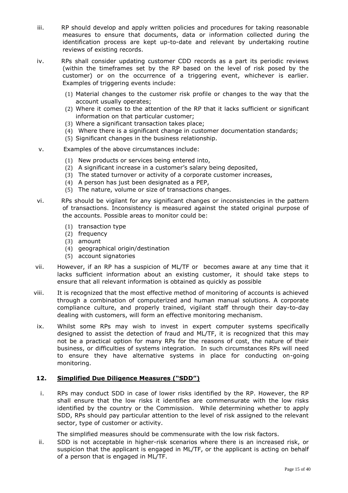- iii. RP should develop and apply written policies and procedures for taking reasonable measures to ensure that documents, data or information collected during the identification process are kept up-to-date and relevant by undertaking routine reviews of existing records.
- iv. RPs shall consider updating customer CDD records as a part its periodic reviews (within the timeframes set by the RP based on the level of risk posed by the customer) or on the occurrence of a triggering event, whichever is earlier. Examples of triggering events include:
	- (1) Material changes to the customer risk profile or changes to the way that the account usually operates;
	- (2) Where it comes to the attention of the RP that it lacks sufficient or significant information on that particular customer;
	- (3) Where a significant transaction takes place;
	- (4) Where there is a significant change in customer documentation standards;
	- (5) Significant changes in the business relationship.
- v. Examples of the above circumstances include:
	- (1) New products or services being entered into,
	- (2) A significant increase in a customer's salary being deposited,
	- (3) The stated turnover or activity of a corporate customer increases,
	- (4) A person has just been designated as a PEP,
	- (5) The nature, volume or size of transactions changes.
- vi. RPs should be vigilant for any significant changes or inconsistencies in the pattern of transactions. Inconsistency is measured against the stated original purpose of the accounts. Possible areas to monitor could be:
	- (1) transaction type
	- (2) frequency
	- (3) amount
	- (4) geographical origin/destination
	- (5) account signatories
- vii. However, if an RP has a suspicion of ML/TF or becomes aware at any time that it lacks sufficient information about an existing customer, it should take steps to ensure that all relevant information is obtained as quickly as possible
- viii. It is recognized that the most effective method of monitoring of accounts is achieved through a combination of computerized and human manual solutions. A corporate compliance culture, and properly trained, vigilant staff through their day-to-day dealing with customers, will form an effective monitoring mechanism.
- ix. Whilst some RPs may wish to invest in expert computer systems specifically designed to assist the detection of fraud and ML/TF, it is recognized that this may not be a practical option for many RPs for the reasons of cost, the nature of their business, or difficulties of systems integration. In such circumstances RPs will need to ensure they have alternative systems in place for conducting on-going monitoring.

### **12. Simplified Due Diligence Measures ("SDD")**

i. RPs may conduct SDD in case of lower risks identified by the RP. However, the RP shall ensure that the low risks it identifies are commensurate with the low risks identified by the country or the Commission. While determining whether to apply SDD, RPs should pay particular attention to the level of risk assigned to the relevant sector, type of customer or activity.

The simplified measures should be commensurate with the low risk factors.

ii. SDD is not acceptable in higher-risk scenarios where there is an increased risk, or suspicion that the applicant is engaged in ML/TF, or the applicant is acting on behalf of a person that is engaged in ML/TF.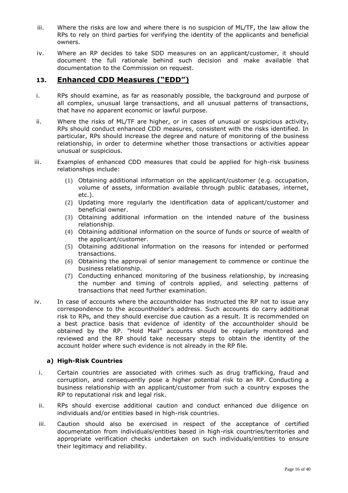- iii. Where the risks are low and where there is no suspicion of ML/TF, the law allow the RPs to rely on third parties for verifying the identity of the applicants and beneficial owners.
- iv. Where an RP decides to take SDD measures on an applicant/customer, it should document the full rationale behind such decision and make available that documentation to the Commission on request.

# **13. Enhanced CDD Measures ("EDD")**

- i. RPs should examine, as far as reasonably possible, the background and purpose of all complex, unusual large transactions, and all unusual patterns of transactions, that have no apparent economic or lawful purpose.
- ii. Where the risks of ML/TF are higher, or in cases of unusual or suspicious activity, RPs should conduct enhanced CDD measures, consistent with the risks identified. In particular, RPs should increase the degree and nature of monitoring of the business relationship, in order to determine whether those transactions or activities appear unusual or suspicious.
- iii. Examples of enhanced CDD measures that could be applied for high-risk business relationships include:
	- (1) Obtaining additional information on the applicant/customer (e.g. occupation, volume of assets, information available through public databases, internet, etc.).
	- (2) Updating more regularly the identification data of applicant/customer and beneficial owner.
	- (3) Obtaining additional information on the intended nature of the business relationship.
	- (4) Obtaining additional information on the source of funds or source of wealth of the applicant/customer.
	- (5) Obtaining additional information on the reasons for intended or performed transactions.
	- (6) Obtaining the approval of senior management to commence or continue the business relationship.
	- (7) Conducting enhanced monitoring of the business relationship, by increasing the number and timing of controls applied, and selecting patterns of transactions that need further examination.
- iv. In case of accounts where the accountholder has instructed the RP not to issue any correspondence to the accountholder's address. Such accounts do carry additional risk to RPs, and they should exercise due caution as a result. It is recommended on a best practice basis that evidence of identity of the accountholder should be obtained by the RP. "Hold Mail" accounts should be regularly monitored and reviewed and the RP should take necessary steps to obtain the identity of the account holder where such evidence is not already in the RP file.

# **a) High-Risk Countries**

- i. Certain countries are associated with crimes such as drug trafficking, fraud and corruption, and consequently pose a higher potential risk to an RP. Conducting a business relationship with an applicant/customer from such a country exposes the RP to reputational risk and legal risk.
- ii. RPs should exercise additional caution and conduct enhanced due diligence on individuals and/or entities based in high-risk countries.
- iii. Caution should also be exercised in respect of the acceptance of certified documentation from individuals/entities based in high-risk countries/territories and appropriate verification checks undertaken on such individuals/entities to ensure their legitimacy and reliability.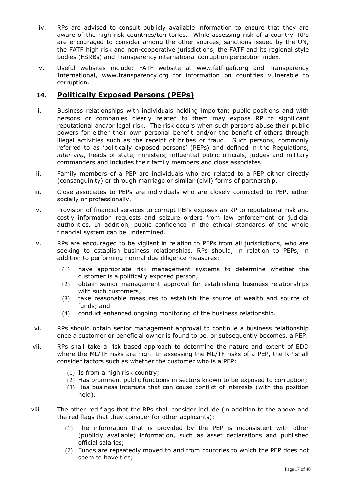- iv. RPs are advised to consult publicly available information to ensure that they are aware of the high-risk countries/territories. While assessing risk of a country, RPs are encouraged to consider among the other sources, sanctions issued by the UN, the FATF high risk and non-cooperative jurisdictions, the FATF and its regional style bodies (FSRBs) and Transparency international corruption perception index.
- v. Useful websites include: FATF website at [www.fatf-gafi.org](http://www.fatf-gafi.org/) and Transparency International, [www.transparency.org](http://www.transparency.org/) for information on countries vulnerable to corruption.

# **14. Politically Exposed Persons (PEPs)**

- i. Business relationships with individuals holding important public positions and with persons or companies clearly related to them may expose RP to significant reputational and/or legal risk. The risk occurs when such persons abuse their public powers for either their own personal benefit and/or the benefit of others through illegal activities such as the receipt of bribes or fraud. Such persons, commonly referred to as 'politically exposed persons' (PEPs) and defined in the Regulations, *inter-alia*, heads of state, ministers, influential public officials, judges and military commanders and includes their family members and close associates.
- ii. Family members of a PEP are individuals who are related to a PEP either directly (consanguinity) or through marriage or similar (civil) forms of partnership.
- iii. Close associates to PEPs are individuals who are closely connected to PEP, either socially or professionally.
- iv. Provision of financial services to corrupt PEPs exposes an RP to reputational risk and costly information requests and seizure orders from law enforcement or judicial authorities. In addition, public confidence in the ethical standards of the whole financial system can be undermined.
- v. RPs are encouraged to be vigilant in relation to PEPs from all jurisdictions, who are seeking to establish business relationships. RPs should, in relation to PEPs, in addition to performing normal due diligence measures:
	- (1) have appropriate risk management systems to determine whether the customer is a politically exposed person;
	- (2) obtain senior management approval for establishing business relationships with such customers;
	- (3) take reasonable measures to establish the source of wealth and source of funds; and
	- (4) conduct enhanced ongoing monitoring of the business relationship.
- vi. RPs should obtain senior management approval to continue a business relationship once a customer or beneficial owner is found to be, or subsequently becomes, a PEP.
- vii. RPs shall take a risk based approach to determine the nature and extent of EDD where the ML/TF risks are high. In assessing the ML/TF risks of a PEP, the RP shall consider factors such as whether the customer who is a PEP:
	- (1) Is from a high risk country;
	- (2) Has prominent public functions in sectors known to be exposed to corruption;
	- (3) Has business interests that can cause conflict of interests (with the position held).
- viii. The other red flags that the RPs shall consider include (in addition to the above and the red flags that they consider for other applicants):
	- (1) The information that is provided by the PEP is inconsistent with other (publicly available) information, such as asset declarations and published official salaries;
	- (2) Funds are repeatedly moved to and from countries to which the PEP does not seem to have ties;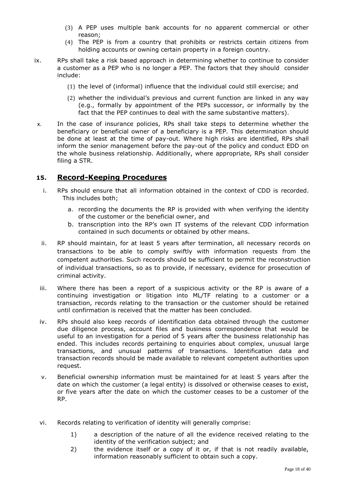- (3) A PEP uses multiple bank accounts for no apparent commercial or other reason;
- (4) The PEP is from a country that prohibits or restricts certain citizens from holding accounts or owning certain property in a foreign country.
- ix. RPs shall take a risk based approach in determining whether to continue to consider a customer as a PEP who is no longer a PEP. The factors that they should consider include:
	- (1) the level of (informal) influence that the individual could still exercise; and
	- (2) whether the individual's previous and current function are linked in any way (e.g., formally by appointment of the PEPs successor, or informally by the fact that the PEP continues to deal with the same substantive matters).
- x. In the case of insurance policies, RPs shall take steps to determine whether the beneficiary or beneficial owner of a beneficiary is a PEP. This determination should be done at least at the time of pay-out. Where high risks are identified, RPs shall inform the senior management before the pay-out of the policy and conduct EDD on the whole business relationship. Additionally, where appropriate, RPs shall consider filing a STR.

# **15. Record-Keeping Procedures**

- i. RPs should ensure that all information obtained in the context of CDD is recorded. This includes both;
	- a. recording the documents the RP is provided with when verifying the identity of the customer or the beneficial owner, and
	- b. transcription into the RP's own IT systems of the relevant CDD information contained in such documents or obtained by other means.
- ii. RP should maintain, for at least 5 years after termination, all necessary records on transactions to be able to comply swiftly with information requests from the competent authorities. Such records should be sufficient to permit the reconstruction of individual transactions, so as to provide, if necessary, evidence for prosecution of criminal activity.
- iii. Where there has been a report of a suspicious activity or the RP is aware of a continuing investigation or litigation into ML/TF relating to a customer or a transaction, records relating to the transaction or the customer should be retained until confirmation is received that the matter has been concluded.
- iv. RPs should also keep records of identification data obtained through the customer due diligence process, account files and business correspondence that would be useful to an investigation for a period of 5 years after the business relationship has ended. This includes records pertaining to enquiries about complex, unusual large transactions, and unusual patterns of transactions. Identification data and transaction records should be made available to relevant competent authorities upon request.
- v. Beneficial ownership information must be maintained for at least 5 years after the date on which the customer (a legal entity) is dissolved or otherwise ceases to exist, or five years after the date on which the customer ceases to be a customer of the RP.
- vi. Records relating to verification of identity will generally comprise:
	- 1) a description of the nature of all the evidence received relating to the identity of the verification subject; and
	- 2) the evidence itself or a copy of it or, if that is not readily available, information reasonably sufficient to obtain such a copy.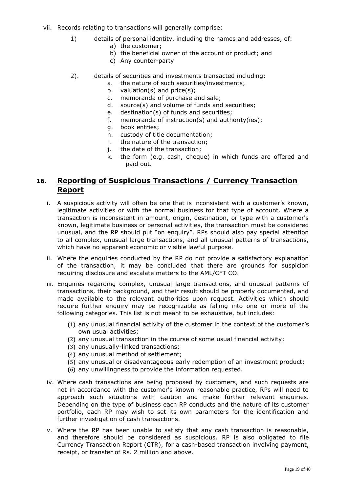- vii. Records relating to transactions will generally comprise:
	- 1) details of personal identity, including the names and addresses, of:
		- a) the customer;
		- b) the beneficial owner of the account or product; and
		- c) Any counter-party
	- 2). details of securities and investments transacted including:
		- a. the nature of such securities/investments;
		- b. valuation(s) and price(s);<br>c. memoranda of purchase a
		- c. memoranda of purchase and sale;<br>d. source(s) and volume of funds and
		- source(s) and volume of funds and securities;
		- e. destination(s) of funds and securities;
		- f. memoranda of instruction(s) and authority(ies);
		- book entries;
		- h. custody of title documentation;
		- i. the nature of the transaction;
		- j. the date of the transaction;
		- k. the form (e.g. cash, cheque) in which funds are offered and paid out.

# **16. Reporting of Suspicious Transactions / Currency Transaction Report**

- i. A suspicious activity will often be one that is inconsistent with a customer's known, legitimate activities or with the normal business for that type of account. Where a transaction is inconsistent in amount, origin, destination, or type with a customer's known, legitimate business or personal activities, the transaction must be considered unusual, and the RP should put "on enquiry". RPs should also pay special attention to all complex, unusual large transactions, and all unusual patterns of transactions, which have no apparent economic or visible lawful purpose.
- ii. Where the enquiries conducted by the RP do not provide a satisfactory explanation of the transaction, it may be concluded that there are grounds for suspicion requiring disclosure and escalate matters to the AML/CFT CO.
- iii. Enquiries regarding complex, unusual large transactions, and unusual patterns of transactions, their background, and their result should be properly documented, and made available to the relevant authorities upon request. Activities which should require further enquiry may be recognizable as falling into one or more of the following categories. This list is not meant to be exhaustive, but includes:
	- (1) any unusual financial activity of the customer in the context of the customer's own usual activities;
	- (2) any unusual transaction in the course of some usual financial activity;
	- (3) any unusually-linked transactions;
	- (4) any unusual method of settlement;
	- (5) any unusual or disadvantageous early redemption of an investment product;
	- (6) any unwillingness to provide the information requested.
- iv. Where cash transactions are being proposed by customers, and such requests are not in accordance with the customer's known reasonable practice, RPs will need to approach such situations with caution and make further relevant enquiries. Depending on the type of business each RP conducts and the nature of its customer portfolio, each RP may wish to set its own parameters for the identification and further investigation of cash transactions.
- v. Where the RP has been unable to satisfy that any cash transaction is reasonable, and therefore should be considered as suspicious. RP is also obligated to file Currency Transaction Report (CTR), for a cash-based transaction involving payment, receipt, or transfer of Rs. 2 million and above.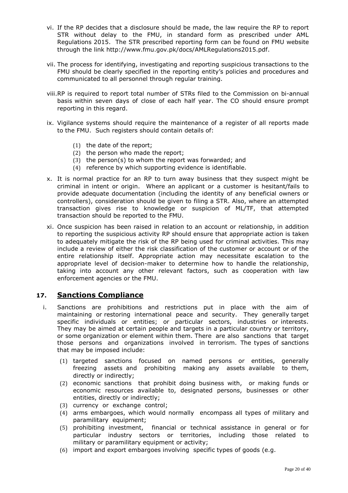- vi. If the RP decides that a disclosure should be made, the law require the RP to report STR without delay to the FMU, in standard form as prescribed under AML Regulations 2015. The STR prescribed reporting form can be found on FMU website through the link http://www.fmu.gov.pk/docs/AMLRegulations2015.pdf.
- vii. The process for identifying, investigating and reporting suspicious transactions to the FMU should be clearly specified in the reporting entity's policies and procedures and communicated to all personnel through regular training.
- viii.RP is required to report total number of STRs filed to the Commission on bi-annual basis within seven days of close of each half year. The CO should ensure prompt reporting in this regard.
- ix. Vigilance systems should require the maintenance of a register of all reports made to the FMU. Such registers should contain details of:
	- (1) the date of the report;
	- (2) the person who made the report;
	- (3) the person(s) to whom the report was forwarded; and
	- (4) reference by which supporting evidence is identifiable.
- x. It is normal practice for an RP to turn away business that they suspect might be criminal in intent or origin. Where an applicant or a customer is hesitant/fails to provide adequate documentation (including the identity of any beneficial owners or controllers), consideration should be given to filing a STR. Also, where an attempted transaction gives rise to knowledge or suspicion of ML/TF, that attempted transaction should be reported to the FMU.
- xi. Once suspicion has been raised in relation to an account or relationship, in addition to reporting the suspicious activity RP should ensure that appropriate action is taken to adequately mitigate the risk of the RP being used for criminal activities. This may include a review of either the risk classification of the customer or account or of the entire relationship itself. Appropriate action may necessitate escalation to the appropriate level of decision-maker to determine how to handle the relationship, taking into account any other relevant factors, such as cooperation with law enforcement agencies or the FMU.

# **17. Sanctions Compliance**

- i. Sanctions are prohibitions and restrictions put in place with the aim of maintaining or restoring international peace and security. They generally target specific individuals or entities; or particular sectors, industries or interests. They may be aimed at certain people and targets in a particular country or territory, or some organization or element within them. There are also sanctions that target those persons and organizations involved in terrorism. The types of sanctions that may be imposed include:
	- (1) targeted sanctions focused on named persons or entities, generally freezing assets and prohibiting making any assets available to them, directly or indirectly;
	- (2) economic sanctions that prohibit doing business with, or making funds or economic resources available to, designated persons, businesses or other entities, directly or indirectly;
	- (3) currency or exchange control;
	- (4) arms embargoes, which would normally encompass all types of military and paramilitary equipment;
	- (5) prohibiting investment, financial or technical assistance in general or for particular industry sectors or territories, including those related to military or paramilitary equipment or activity;
	- (6) import and export embargoes involving specific types of goods (e.g.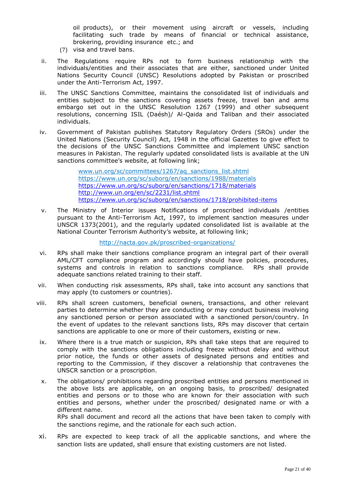oil products), or their movement using aircraft or vessels, including facilitating such trade by means of financial or technical assistance, brokering, providing insurance etc.; and

- (7) visa and travel bans.
- ii. The Regulations require RPs not to form business relationship with the individuals/entities and their associates that are either, sanctioned under United Nations Security Council (UNSC) Resolutions adopted by Pakistan or proscribed under the Anti-Terrorism Act, 1997.
- iii. The UNSC Sanctions Committee, maintains the consolidated list of individuals and entities subject to the sanctions covering assets freeze, travel ban and arms embargo set out in the UNSC Resolution 1267 (1999) and other subsequent resolutions, concerning ISIL (Daésh)/ Al-Qaida and Taliban and their associated individuals.
- iv. Government of Pakistan publishes Statutory Regulatory Orders (SROs) under the United Nations (Security Council) Act, 1948 in the official Gazettes to give effect to the decisions of the UNSC Sanctions Committee and implement UNSC sanction measures in Pakistan. The regularly updated consolidated lists is available at the UN sanctions committee's website, at following link;

[www.un.org/sc/committees/1267/aq\\_sanctions\\_list.shtml](http://www.un.org/sc/committees/1267/aq_sanctions_list.shtml) <https://www.un.org/sc/suborg/en/sanctions/1988/materials> <https://www.un.org/sc/suborg/en/sanctions/1718/materials> <http://www.un.org/en/sc/2231/list.shtml> <https://www.un.org/sc/suborg/en/sanctions/1718/prohibited-items>

v. The Ministry of Interior issues Notifications of proscribed individuals /entities pursuant to the Anti-Terrorism Act, 1997, to implement sanction measures under UNSCR 1373(2001), and the regularly updated consolidated list is available at the National Counter Terrorism Authority's website, at following link;

<http://nacta.gov.pk/proscribed-organizations/>

- vi. RPs shall make their sanctions compliance program an integral part of their overall AML/CFT compliance program and accordingly should have policies, procedures, systems and controls in relation to sanctions compliance. RPs shall provide adequate sanctions related training to their staff.
- vii. When conducting risk assessments, RPs shall, take into account any sanctions that may apply (to customers or countries).
- viii. RPs shall screen customers, beneficial owners, transactions, and other relevant parties to determine whether they are conducting or may conduct business involving any sanctioned person or person associated with a sanctioned person/country. In the event of updates to the relevant sanctions lists, RPs may discover that certain sanctions are applicable to one or more of their customers, existing or new.
- ix. Where there is a true match or suspicion, RPs shall take steps that are required to comply with the sanctions obligations including freeze without delay and without prior notice, the funds or other assets of designated persons and entities and reporting to the Commission, if they discover a relationship that contravenes the UNSCR sanction or a proscription.
- x. The obligations/ prohibitions regarding proscribed entities and persons mentioned in the above lists are applicable, on an ongoing basis, to proscribed/ designated entities and persons or to those who are known for their association with such entities and persons, whether under the proscribed/ designated name or with a different name. RPs shall document and record all the actions that have been taken to comply with the sanctions regime, and the rationale for each such action.
- xi. RPs are expected to keep track of all the applicable sanctions, and where the sanction lists are updated, shall ensure that existing customers are not listed.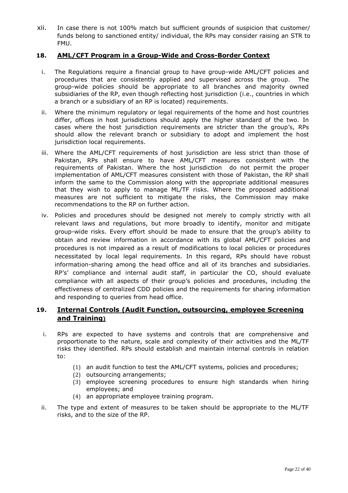xii. In case there is not 100% match but sufficient grounds of suspicion that customer/ funds belong to sanctioned entity/ individual, the RPs may consider raising an STR to FMU.

# **18. AML/CFT Program in a Group-Wide and Cross-Border Context**

- i. The Regulations require a financial group to have group-wide AML/CFT policies and procedures that are consistently applied and supervised across the group. The group-wide policies should be appropriate to all branches and majority owned subsidiaries of the RP, even though reflecting host jurisdiction (i.e., countries in which a branch or a subsidiary of an RP is located) requirements.
- ii. Where the minimum regulatory or legal requirements of the home and host countries differ, offices in host jurisdictions should apply the higher standard of the two. In cases where the host jurisdiction requirements are stricter than the group's, RPs should allow the relevant branch or subsidiary to adopt and implement the host jurisdiction local requirements.
- iii. Where the AML/CFT requirements of host jurisdiction are less strict than those of Pakistan, RPs shall ensure to have AML/CFT measures consistent with the requirements of Pakistan. Where the host jurisdiction do not permit the proper implementation of AML/CFT measures consistent with those of Pakistan, the RP shall inform the same to the Commission along with the appropriate additional measures that they wish to apply to manage ML/TF risks. Where the proposed additional measures are not sufficient to mitigate the risks, the Commission may make recommendations to the RP on further action.
- iv. Policies and procedures should be designed not merely to comply strictly with all relevant laws and regulations, but more broadly to identify, monitor and mitigate group-wide risks. Every effort should be made to ensure that the group's ability to obtain and review information in accordance with its global AML/CFT policies and procedures is not impaired as a result of modifications to local policies or procedures necessitated by local legal requirements. In this regard, RPs should have robust information-sharing among the head office and all of its branches and subsidiaries. RP's' compliance and internal audit staff, in particular the CO, should evaluate compliance with all aspects of their group's policies and procedures, including the effectiveness of centralized CDD policies and the requirements for sharing information and responding to queries from head office.

# **19. Internal Controls (Audit Function, outsourcing, employee Screening and Training)**

- i. RPs are expected to have systems and controls that are comprehensive and proportionate to the nature, scale and complexity of their activities and the ML/TF risks they identified. RPs should establish and maintain internal controls in relation to:
	- (1) an audit function to test the AML/CFT systems, policies and procedures;
	- (2) outsourcing arrangements;
	- (3) employee screening procedures to ensure high standards when hiring employees; and
	- (4) an appropriate employee training program.
- ii. The type and extent of measures to be taken should be appropriate to the ML/TF risks, and to the size of the RP.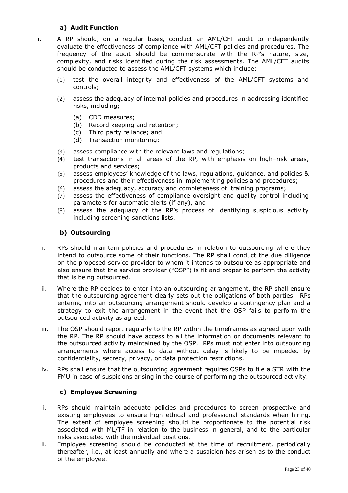## **a) Audit Function**

i. A RP should, on a regular basis, conduct an AML/CFT audit to independently evaluate the effectiveness of compliance with AML/CFT policies and procedures. The frequency of the audit should be commensurate with the RP's nature, size, complexity, and risks identified during the risk assessments. The AML/CFT audits should be conducted to assess the AML/CFT systems which include:

- (1) test the overall integrity and effectiveness of the AML/CFT systems and controls;
- (2) assess the adequacy of internal policies and procedures in addressing identified risks, including;
	- (a) CDD measures;
	- (b) Record keeping and retention;
	- (c) Third party reliance; and
	- (d) Transaction monitoring;
- (3) assess compliance with the relevant laws and regulations;
- (4) test transactions in all areas of the RP, with emphasis on high–risk areas, products and services;
- (5) assess employees' knowledge of the laws, regulations, guidance, and policies & procedures and their effectiveness in implementing policies and procedures;
- (6) assess the adequacy, accuracy and completeness of training programs;
- (7) assess the effectiveness of compliance oversight and quality control including parameters for automatic alerts (if any), and
- (8) assess the adequacy of the RP's process of identifying suspicious activity including screening sanctions lists.

## **b) Outsourcing**

- i. RPs should maintain policies and procedures in relation to outsourcing where they intend to outsource some of their functions. The RP shall conduct the due diligence on the proposed service provider to whom it intends to outsource as appropriate and also ensure that the service provider ("OSP") is fit and proper to perform the activity that is being outsourced.
- ii. Where the RP decides to enter into an outsourcing arrangement, the RP shall ensure that the outsourcing agreement clearly sets out the obligations of both parties. RPs entering into an outsourcing arrangement should develop a contingency plan and a strategy to exit the arrangement in the event that the OSP fails to perform the outsourced activity as agreed.
- iii. The OSP should report regularly to the RP within the timeframes as agreed upon with the RP. The RP should have access to all the information or documents relevant to the outsourced activity maintained by the OSP. RPs must not enter into outsourcing arrangements where access to data without delay is likely to be impeded by confidentiality, secrecy, privacy, or data protection restrictions.
- iv. RPs shall ensure that the outsourcing agreement requires OSPs to file a STR with the FMU in case of suspicions arising in the course of performing the outsourced activity.

### **c) Employee Screening**

- i. RPs should maintain adequate policies and procedures to screen prospective and existing employees to ensure high ethical and professional standards when hiring. The extent of employee screening should be proportionate to the potential risk associated with ML/TF in relation to the business in general, and to the particular risks associated with the individual positions.
- ii. Employee screening should be conducted at the time of recruitment, periodically thereafter, i.e., at least annually and where a suspicion has arisen as to the conduct of the employee.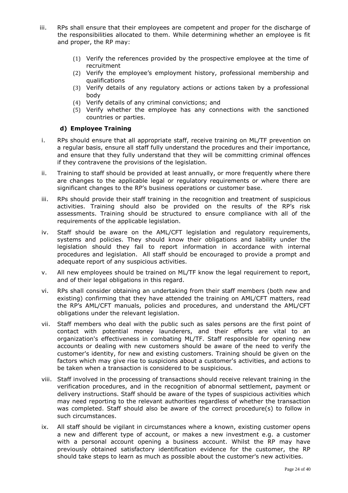- iii. RPs shall ensure that their employees are competent and proper for the discharge of the responsibilities allocated to them. While determining whether an employee is fit and proper, the RP may:
	- (1) Verify the references provided by the prospective employee at the time of recruitment
	- (2) Verify the employee's employment history, professional membership and qualifications
	- (3) Verify details of any regulatory actions or actions taken by a professional body
	- (4) Verify details of any criminal convictions; and
	- (5) Verify whether the employee has any connections with the sanctioned countries or parties.

### **d) Employee Training**

- i. RPs should ensure that all appropriate staff, receive training on ML/TF prevention on a regular basis, ensure all staff fully understand the procedures and their importance, and ensure that they fully understand that they will be committing criminal offences if they contravene the provisions of the legislation.
- ii. Training to staff should be provided at least annually, or more frequently where there are changes to the applicable legal or regulatory requirements or where there are significant changes to the RP's business operations or customer base.
- iii. RPs should provide their staff training in the recognition and treatment of suspicious activities. Training should also be provided on the results of the RP's risk assessments. Training should be structured to ensure compliance with all of the requirements of the applicable legislation.
- iv. Staff should be aware on the AML/CFT legislation and regulatory requirements, systems and policies. They should know their obligations and liability under the legislation should they fail to report information in accordance with internal procedures and legislation. All staff should be encouraged to provide a prompt and adequate report of any suspicious activities.
- v. All new employees should be trained on ML/TF know the legal requirement to report, and of their legal obligations in this regard.
- vi. RPs shall consider obtaining an undertaking from their staff members (both new and existing) confirming that they have attended the training on AML/CFT matters, read the RP's AML/CFT manuals, policies and procedures, and understand the AML/CFT obligations under the relevant legislation.
- vii. Staff members who deal with the public such as sales persons are the first point of contact with potential money launderers, and their efforts are vital to an organization's effectiveness in combating ML/TF. Staff responsible for opening new accounts or dealing with new customers should be aware of the need to verify the customer's identity, for new and existing customers. Training should be given on the factors which may give rise to suspicions about a customer's activities, and actions to be taken when a transaction is considered to be suspicious.
- viii. Staff involved in the processing of transactions should receive relevant training in the verification procedures, and in the recognition of abnormal settlement, payment or delivery instructions. Staff should be aware of the types of suspicious activities which may need reporting to the relevant authorities regardless of whether the transaction was completed. Staff should also be aware of the correct procedure(s) to follow in such circumstances.
- ix. All staff should be vigilant in circumstances where a known, existing customer opens a new and different type of account, or makes a new investment e.g. a customer with a personal account opening a business account. Whilst the RP may have previously obtained satisfactory identification evidence for the customer, the RP should take steps to learn as much as possible about the customer's new activities.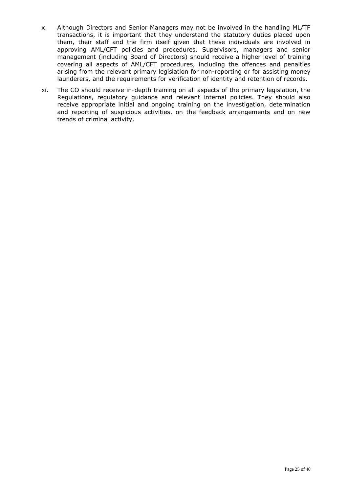- x. Although Directors and Senior Managers may not be involved in the handling ML/TF transactions, it is important that they understand the statutory duties placed upon them, their staff and the firm itself given that these individuals are involved in approving AML/CFT policies and procedures. Supervisors, managers and senior management (including Board of Directors) should receive a higher level of training covering all aspects of AML/CFT procedures, including the offences and penalties arising from the relevant primary legislation for non-reporting or for assisting money launderers, and the requirements for verification of identity and retention of records.
- xi. The CO should receive in-depth training on all aspects of the primary legislation, the Regulations, regulatory guidance and relevant internal policies. They should also receive appropriate initial and ongoing training on the investigation, determination and reporting of suspicious activities, on the feedback arrangements and on new trends of criminal activity.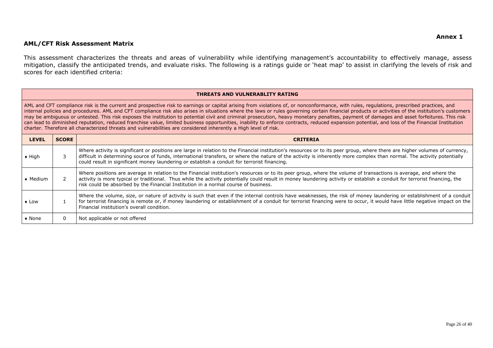#### **AML/CFT Risk Assessment Matrix**

This assessment characterizes the threats and areas of vulnerability while identifying management's accountability to effectively manage, assess mitigation, classify the anticipated trends, and evaluate risks. The following is a ratings guide or 'heat map' to assist in clarifying the levels of risk and scores for each identified criteria:

#### **THREATS AND VULNERABLITY RATING**

AML and CFT compliance risk is the current and prospective risk to earnings or capital arising from violations of, or nonconformance, with rules, regulations, prescribed practices, and internal policies and procedures. AML and CFT compliance risk also arises in situations where the laws or rules governing certain financial products or activities of the institution's customers may be ambiguous or untested. This risk exposes the institution to potential civil and criminal prosecution, heavy monetary penalties, payment of damages and asset forfeitures. This risk can lead to diminished reputation, reduced franchise value, limited business opportunities, inability to enforce contracts, reduced expansion potential, and loss of the Financial Institution charter. Therefore all characterized threats and vulnerabilities are considered inherently a High level of risk.

| <b>LEVEL</b>     | <b>SCORE</b> | <b>CRITERIA</b>                                                                                                                                                                                                                                                                                                                                                                                                                                        |
|------------------|--------------|--------------------------------------------------------------------------------------------------------------------------------------------------------------------------------------------------------------------------------------------------------------------------------------------------------------------------------------------------------------------------------------------------------------------------------------------------------|
| $\bullet$ High   |              | Where activity is significant or positions are large in relation to the Financial institution's resources or to its peer group, where there are higher volumes of currency,<br>difficult in determining source of funds, international transfers, or where the nature of the activity is inherently more complex than normal. The activity potentially<br>could result in significant money laundering or establish a conduit for terrorist financing. |
| $\bullet$ Medium |              | Where positions are average in relation to the Financial institution's resources or to its peer group, where the volume of transactions is average, and where the<br>activity is more typical or traditional. Thus while the activity potentially could result in money laundering activity or establish a conduit for terrorist financing, the<br>risk could be absorbed by the Financial Institution in a normal course of business.                 |
| $\bullet$ Low    |              | Where the volume, size, or nature of activity is such that even if the internal controls have weaknesses, the risk of money laundering or establishment of a conduit<br>for terrorist financing is remote or, if money laundering or establishment of a conduit for terrorist financing were to occur, it would have little negative impact on the<br>Financial institution's overall condition.                                                       |
| $\bullet$ None   | 0            | Not applicable or not offered                                                                                                                                                                                                                                                                                                                                                                                                                          |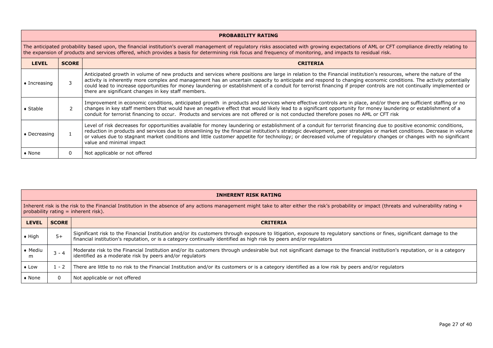#### **PROBABILITY RATING**

The anticipated probability based upon, the financial institution's overall management of regulatory risks associated with growing expectations of AML or CFT compliance directly relating to the expansion of products and services offered, which provides a basis for determining risk focus and frequency of monitoring, and impacts to residual risk.

| <b>LEVEL</b>         | <b>SCORE</b> | <b>CRITERIA</b>                                                                                                                                                                                                                                                                                                                                                                                                                                                                                                                                                       |
|----------------------|--------------|-----------------------------------------------------------------------------------------------------------------------------------------------------------------------------------------------------------------------------------------------------------------------------------------------------------------------------------------------------------------------------------------------------------------------------------------------------------------------------------------------------------------------------------------------------------------------|
| $\bullet$ Increasing |              | Anticipated growth in volume of new products and services where positions are large in relation to the Financial institution's resources, where the nature of the<br>activity is inherently more complex and management has an uncertain capacity to anticipate and respond to changing economic conditions. The activity potentially<br>could lead to increase opportunities for money laundering or establishment of a conduit for terrorist financing if proper controls are not continually implemented or<br>there are significant changes in key staff members. |
| $\bullet$ Stable     |              | Improvement in economic conditions, anticipated growth in products and services where effective controls are in place, and/or there are sufficient staffing or no<br>changes in key staff members that would have an negative effect that would likely lead to a significant opportunity for money laundering or establishment of a<br>conduit for terrorist financing to occur. Products and services are not offered or is not conducted therefore poses no AML or CFT risk                                                                                         |
| $\bullet$ Decreasing |              | Level of risk decreases for opportunities available for money laundering or establishment of a conduit for terrorist financing due to positive economic conditions,<br>reduction in products and services due to streamlining by the financial institution's strategic development, peer strategies or market conditions. Decrease in volume<br>or values due to stagnant market conditions and little customer appetite for technology; or decreased volume of regulatory changes or changes with no significant<br>value and minimal impact                         |
| $\bullet$ None       |              | Not applicable or not offered                                                                                                                                                                                                                                                                                                                                                                                                                                                                                                                                         |

#### **INHERENT RISK RATING**

Inherent risk is the risk to the Financial Institution in the absence of any actions management might take to alter either the risk's probability or impact (threats and vulnerability rating + probability rating  $=$  inherent risk).

| <b>LEVEL</b>         | <b>SCORE</b> | <b>CRITERIA</b>                                                                                                                                                                                                                                                                                |
|----------------------|--------------|------------------------------------------------------------------------------------------------------------------------------------------------------------------------------------------------------------------------------------------------------------------------------------------------|
| $\bullet$ High       | $5+$         | Significant risk to the Financial Institution and/or its customers through exposure to litigation, exposure to regulatory sanctions or fines, significant damage to the<br>financial institution's reputation, or is a category continually identified as high risk by peers and/or regulators |
| $\bullet$ Mediu<br>m | : - 4        | Moderate risk to the Financial Institution and/or its customers through undesirable but not significant damage to the financial institution's reputation, or is a category<br>identified as a moderate risk by peers and/or requlators                                                         |
| $\bullet$ Low        | $-2$         | There are little to no risk to the Financial Institution and/or its customers or is a category identified as a low risk by peers and/or regulators                                                                                                                                             |
| $\bullet$ None       | $\mathbf{0}$ | Not applicable or not offered                                                                                                                                                                                                                                                                  |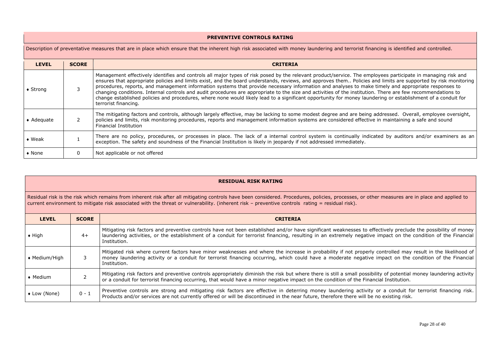| <b>PREVENTIVE CONTROLS RATING</b>                                                                                                                                                      |              |                                                                                                                                                                                                                                                                                                                                                                                                                                                                                                                                                                                                                                                                                                                                                                                                                                              |  |  |  |  |  |  |  |  |
|----------------------------------------------------------------------------------------------------------------------------------------------------------------------------------------|--------------|----------------------------------------------------------------------------------------------------------------------------------------------------------------------------------------------------------------------------------------------------------------------------------------------------------------------------------------------------------------------------------------------------------------------------------------------------------------------------------------------------------------------------------------------------------------------------------------------------------------------------------------------------------------------------------------------------------------------------------------------------------------------------------------------------------------------------------------------|--|--|--|--|--|--|--|--|
| Description of preventative measures that are in place which ensure that the inherent high risk associated with money laundering and terrorist financing is identified and controlled. |              |                                                                                                                                                                                                                                                                                                                                                                                                                                                                                                                                                                                                                                                                                                                                                                                                                                              |  |  |  |  |  |  |  |  |
| <b>LEVEL</b>                                                                                                                                                                           | <b>SCORE</b> | <b>CRITERIA</b>                                                                                                                                                                                                                                                                                                                                                                                                                                                                                                                                                                                                                                                                                                                                                                                                                              |  |  |  |  |  |  |  |  |
| $\bullet$ Strong                                                                                                                                                                       |              | Management effectively identifies and controls all major types of risk posed by the relevant product/service. The employees participate in managing risk and<br>ensures that appropriate policies and limits exist, and the board understands, reviews, and approves them Policies and limits are supported by risk monitoring<br>procedures, reports, and management information systems that provide necessary information and analyses to make timely and appropriate responses to<br>changing conditions. Internal controls and audit procedures are appropriate to the size and activities of the institution. There are few recommendations to<br>change established policies and procedures, where none would likely lead to a significant opportunity for money laundering or establishment of a conduit for<br>terrorist financing. |  |  |  |  |  |  |  |  |
| $\bullet$ Adequate                                                                                                                                                                     |              | The mitigating factors and controls, although largely effective, may be lacking to some modest degree and are being addressed. Overall, employee oversight,<br>policies and limits, risk monitoring procedures, reports and management information systems are considered effective in maintaining a safe and sound<br><b>Financial Institution</b>                                                                                                                                                                                                                                                                                                                                                                                                                                                                                          |  |  |  |  |  |  |  |  |
| $\bullet$ Weak                                                                                                                                                                         |              | There are no policy, procedures, or processes in place. The lack of a internal control system is continually indicated by auditors and/or examiners as an<br>exception. The safety and soundness of the Financial Institution is likely in jeopardy if not addressed immediately.                                                                                                                                                                                                                                                                                                                                                                                                                                                                                                                                                            |  |  |  |  |  |  |  |  |
| $\bullet$ None                                                                                                                                                                         | 0            | Not applicable or not offered                                                                                                                                                                                                                                                                                                                                                                                                                                                                                                                                                                                                                                                                                                                                                                                                                |  |  |  |  |  |  |  |  |

#### **RESIDUAL RISK RATING**

Residual risk is the risk which remains from inherent risk after all mitigating controls have been considered. Procedures, policies, processes, or other measures are in place and applied to current environment to mitigate risk associated with the threat or vulnerability. (inherent risk – preventive controls rating = residual risk).

| <b>LEVEL</b>     | <b>SCORE</b> | <b>CRITERIA</b>                                                                                                                                                                                                                                                                                                                                |
|------------------|--------------|------------------------------------------------------------------------------------------------------------------------------------------------------------------------------------------------------------------------------------------------------------------------------------------------------------------------------------------------|
| $\bullet$ High   | $4+$         | Mitigating risk factors and preventive controls have not been established and/or have significant weaknesses to effectively preclude the possibility of money<br>laundering activities, or the establishment of a conduit for terrorist financing, resulting in an extremely negative impact on the condition of the Financial<br>Institution. |
| ◆ Medium/High    |              | Mitigated risk where current factors have minor weaknesses and where the increase in probability if not properly controlled may result in the likelihood of<br>money laundering activity or a conduit for terrorist financing occurring, which could have a moderate negative impact on the condition of the Financial<br>Institution.         |
| $\bullet$ Medium |              | Mitigating risk factors and preventive controls appropriately diminish the risk but where there is still a small possibility of potential money laundering activity<br>or a conduit for terrorist financing occurring, that would have a minor negative impact on the condition of the Financial Institution.                                  |
| • Low (None)     | 0 - 1        | Preventive controls are strong and mitigating risk factors are effective in deterring money laundering activity or a conduit for terrorist financing risk.<br>Products and/or services are not currently offered or will be discontinued in the near future, therefore there will be no existing risk.                                         |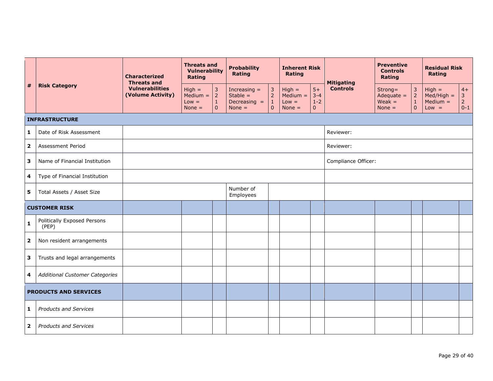|                         |                                       |                                             | <b>Characterized</b><br><b>Threats and</b>    | <b>Threats and</b><br><b>Vulnerability</b><br>Rating            |                                                            | <b>Probability</b><br><b>Rating</b>                              |                                               | <b>Inherent Risk</b><br><b>Rating</b>      |                     | <b>Mitigating</b>                               | <b>Preventive</b><br><b>Controls</b><br>Rating                |                                                   | <b>Residual Risk</b><br>Rating                    |  |
|-------------------------|---------------------------------------|---------------------------------------------|-----------------------------------------------|-----------------------------------------------------------------|------------------------------------------------------------|------------------------------------------------------------------|-----------------------------------------------|--------------------------------------------|---------------------|-------------------------------------------------|---------------------------------------------------------------|---------------------------------------------------|---------------------------------------------------|--|
| #                       | <b>Risk Category</b>                  | <b>Vulnerabilities</b><br>(Volume Activity) | $High =$<br>$Median =$<br>$Low =$<br>None $=$ | $\mathbf{3}$<br>$\overline{2}$<br>$\mathbf 1$<br>$\overline{0}$ | Increasing $=$<br>Stable $=$<br>Decreasing $=$<br>None $=$ | $\overline{3}$<br>$\overline{2}$<br>$\mathbf{1}$<br>$\mathbf{0}$ | $High =$<br>$Median =$<br>$Low =$<br>None $=$ | $5+$<br>$3 - 4$<br>$1 - 2$<br>$\mathbf{0}$ | <b>Controls</b>     | Strong=<br>Adequate $=$<br>$Weak =$<br>None $=$ | $\overline{3}$<br>2 <sup>1</sup><br>$\,1\,$<br>$\overline{0}$ | $High =$<br>$Med/High =$<br>$Median =$<br>$Low =$ | $4+$<br>$\mathbf{3}$<br>$\overline{2}$<br>$0 - 1$ |  |
|                         | <b>INFRASTRUCTURE</b>                 |                                             |                                               |                                                                 |                                                            |                                                                  |                                               |                                            |                     |                                                 |                                                               |                                                   |                                                   |  |
| 1                       | Date of Risk Assessment               |                                             |                                               |                                                                 |                                                            |                                                                  |                                               |                                            | Reviewer:           |                                                 |                                                               |                                                   |                                                   |  |
| $\overline{\mathbf{2}}$ | Assessment Period                     |                                             |                                               |                                                                 |                                                            |                                                                  |                                               |                                            | Reviewer:           |                                                 |                                                               |                                                   |                                                   |  |
| 3                       | Name of Financial Institution         |                                             |                                               |                                                                 |                                                            |                                                                  |                                               |                                            | Compliance Officer: |                                                 |                                                               |                                                   |                                                   |  |
| 4                       | Type of Financial Institution         |                                             |                                               |                                                                 |                                                            |                                                                  |                                               |                                            |                     |                                                 |                                                               |                                                   |                                                   |  |
| 5                       | Total Assets / Asset Size             |                                             |                                               |                                                                 | Number of<br>Employees                                     |                                                                  |                                               |                                            |                     |                                                 |                                                               |                                                   |                                                   |  |
|                         | <b>CUSTOMER RISK</b>                  |                                             |                                               |                                                                 |                                                            |                                                                  |                                               |                                            |                     |                                                 |                                                               |                                                   |                                                   |  |
| $\mathbf{1}$            | Politically Exposed Persons<br>(PEP)  |                                             |                                               |                                                                 |                                                            |                                                                  |                                               |                                            |                     |                                                 |                                                               |                                                   |                                                   |  |
| $\overline{\mathbf{2}}$ | Non resident arrangements             |                                             |                                               |                                                                 |                                                            |                                                                  |                                               |                                            |                     |                                                 |                                                               |                                                   |                                                   |  |
| 3                       | Trusts and legal arrangements         |                                             |                                               |                                                                 |                                                            |                                                                  |                                               |                                            |                     |                                                 |                                                               |                                                   |                                                   |  |
| 4                       | <b>Additional Customer Categories</b> |                                             |                                               |                                                                 |                                                            |                                                                  |                                               |                                            |                     |                                                 |                                                               |                                                   |                                                   |  |
|                         | <b>PRODUCTS AND SERVICES</b>          |                                             |                                               |                                                                 |                                                            |                                                                  |                                               |                                            |                     |                                                 |                                                               |                                                   |                                                   |  |
| $\mathbf{1}$            | <b>Products and Services</b>          |                                             |                                               |                                                                 |                                                            |                                                                  |                                               |                                            |                     |                                                 |                                                               |                                                   |                                                   |  |
| $\overline{\mathbf{2}}$ | <b>Products and Services</b>          |                                             |                                               |                                                                 |                                                            |                                                                  |                                               |                                            |                     |                                                 |                                                               |                                                   |                                                   |  |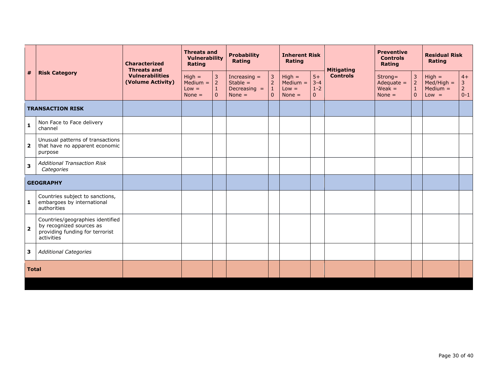|                         |                                                                                                               |                                             | <b>Characterized</b><br><b>Threats and</b>    | <b>Threats and</b><br><b>Vulnerability</b><br>Rating          |                                                            | <b>Probability</b><br>Rating                                       |                                               | <b>Inherent Risk</b><br>Rating               |                 | <b>Mitigating</b>                               | <b>Preventive</b><br><b>Controls</b><br>Rating               |                                                   | <b>Residual Risk</b><br><b>Rating</b>             |  |
|-------------------------|---------------------------------------------------------------------------------------------------------------|---------------------------------------------|-----------------------------------------------|---------------------------------------------------------------|------------------------------------------------------------|--------------------------------------------------------------------|-----------------------------------------------|----------------------------------------------|-----------------|-------------------------------------------------|--------------------------------------------------------------|---------------------------------------------------|---------------------------------------------------|--|
| #                       | <b>Risk Category</b>                                                                                          | <b>Vulnerabilities</b><br>(Volume Activity) | $High =$<br>$Median =$<br>$Low =$<br>None $=$ | $\mathbf{3}$<br>$2^{\circ}$<br>$\mathbf{1}$<br>$\overline{0}$ | Increasing $=$<br>Stable $=$<br>Decreasing $=$<br>None $=$ | $\overline{3}$<br>$\overline{2}$<br>$\mathbf{1}$<br>$\overline{0}$ | $High =$<br>$Median =$<br>$Low =$<br>None $=$ | $5+$<br>$3 - 4$<br>$1 - 2$<br>$\overline{0}$ | <b>Controls</b> | Strong=<br>Adequate $=$<br>$Weak =$<br>None $=$ | $\overline{3}$<br>$\overline{2}$<br>$\mathbf{1}$<br>$\Omega$ | $High =$<br>$Med/High =$<br>$Median =$<br>$Low =$ | $4+$<br>$\mathbf{3}$<br>$\overline{2}$<br>$0 - 1$ |  |
| <b>TRANSACTION RISK</b> |                                                                                                               |                                             |                                               |                                                               |                                                            |                                                                    |                                               |                                              |                 |                                                 |                                                              |                                                   |                                                   |  |
| $\mathbf{1}$            | Non Face to Face delivery<br>channel                                                                          |                                             |                                               |                                                               |                                                            |                                                                    |                                               |                                              |                 |                                                 |                                                              |                                                   |                                                   |  |
| $\overline{\mathbf{2}}$ | Unusual patterns of transactions<br>that have no apparent economic<br>purpose                                 |                                             |                                               |                                                               |                                                            |                                                                    |                                               |                                              |                 |                                                 |                                                              |                                                   |                                                   |  |
| $\mathbf{3}$            | <b>Additional Transaction Risk</b><br>Categories                                                              |                                             |                                               |                                                               |                                                            |                                                                    |                                               |                                              |                 |                                                 |                                                              |                                                   |                                                   |  |
|                         | <b>GEOGRAPHY</b>                                                                                              |                                             |                                               |                                                               |                                                            |                                                                    |                                               |                                              |                 |                                                 |                                                              |                                                   |                                                   |  |
| $\mathbf{1}$            | Countries subject to sanctions,<br>embargoes by international<br>authorities                                  |                                             |                                               |                                                               |                                                            |                                                                    |                                               |                                              |                 |                                                 |                                                              |                                                   |                                                   |  |
| $\overline{2}$          | Countries/geographies identified<br>by recognized sources as<br>providing funding for terrorist<br>activities |                                             |                                               |                                                               |                                                            |                                                                    |                                               |                                              |                 |                                                 |                                                              |                                                   |                                                   |  |
| 3                       | <b>Additional Categories</b>                                                                                  |                                             |                                               |                                                               |                                                            |                                                                    |                                               |                                              |                 |                                                 |                                                              |                                                   |                                                   |  |
| <b>Total</b>            |                                                                                                               |                                             |                                               |                                                               |                                                            |                                                                    |                                               |                                              |                 |                                                 |                                                              |                                                   |                                                   |  |
|                         |                                                                                                               |                                             |                                               |                                                               |                                                            |                                                                    |                                               |                                              |                 |                                                 |                                                              |                                                   |                                                   |  |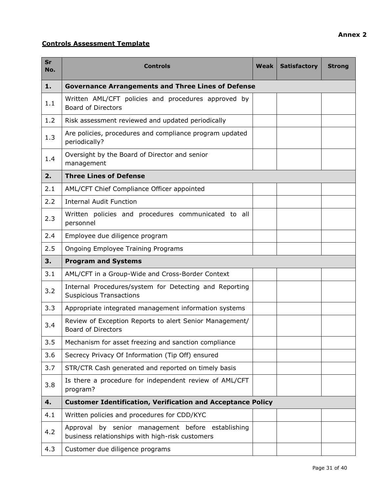# **Controls Assessment Template**

| <b>Sr</b><br>No. | <b>Controls</b>                                                                                      | Weak | <b>Satisfactory</b> | <b>Strong</b> |  |  |  |  |  |  |
|------------------|------------------------------------------------------------------------------------------------------|------|---------------------|---------------|--|--|--|--|--|--|
| 1.               | <b>Governance Arrangements and Three Lines of Defense</b>                                            |      |                     |               |  |  |  |  |  |  |
| 1.1              | Written AML/CFT policies and procedures approved by<br><b>Board of Directors</b>                     |      |                     |               |  |  |  |  |  |  |
| 1.2              | Risk assessment reviewed and updated periodically                                                    |      |                     |               |  |  |  |  |  |  |
| 1.3              | Are policies, procedures and compliance program updated<br>periodically?                             |      |                     |               |  |  |  |  |  |  |
| 1.4              | Oversight by the Board of Director and senior<br>management                                          |      |                     |               |  |  |  |  |  |  |
| 2.               | <b>Three Lines of Defense</b>                                                                        |      |                     |               |  |  |  |  |  |  |
| 2.1              | AML/CFT Chief Compliance Officer appointed                                                           |      |                     |               |  |  |  |  |  |  |
| 2.2              | <b>Internal Audit Function</b>                                                                       |      |                     |               |  |  |  |  |  |  |
| 2.3              | Written policies and procedures communicated to all<br>personnel                                     |      |                     |               |  |  |  |  |  |  |
| 2.4              | Employee due diligence program                                                                       |      |                     |               |  |  |  |  |  |  |
| 2.5              | Ongoing Employee Training Programs                                                                   |      |                     |               |  |  |  |  |  |  |
| 3.               | <b>Program and Systems</b>                                                                           |      |                     |               |  |  |  |  |  |  |
| 3.1              | AML/CFT in a Group-Wide and Cross-Border Context                                                     |      |                     |               |  |  |  |  |  |  |
| 3.2              | Internal Procedures/system for Detecting and Reporting<br><b>Suspicious Transactions</b>             |      |                     |               |  |  |  |  |  |  |
| 3.3              | Appropriate integrated management information systems                                                |      |                     |               |  |  |  |  |  |  |
| 3.4              | Review of Exception Reports to alert Senior Management/<br><b>Board of Directors</b>                 |      |                     |               |  |  |  |  |  |  |
| 3.5              | Mechanism for asset freezing and sanction compliance                                                 |      |                     |               |  |  |  |  |  |  |
| 3.6              | Secrecy Privacy Of Information (Tip Off) ensured                                                     |      |                     |               |  |  |  |  |  |  |
| 3.7              | STR/CTR Cash generated and reported on timely basis                                                  |      |                     |               |  |  |  |  |  |  |
| 3.8              | Is there a procedure for independent review of AML/CFT<br>program?                                   |      |                     |               |  |  |  |  |  |  |
| 4.               | <b>Customer Identification, Verification and Acceptance Policy</b>                                   |      |                     |               |  |  |  |  |  |  |
| 4.1              | Written policies and procedures for CDD/KYC                                                          |      |                     |               |  |  |  |  |  |  |
| 4.2              | Approval by senior management before establishing<br>business relationships with high-risk customers |      |                     |               |  |  |  |  |  |  |
| 4.3              | Customer due diligence programs                                                                      |      |                     |               |  |  |  |  |  |  |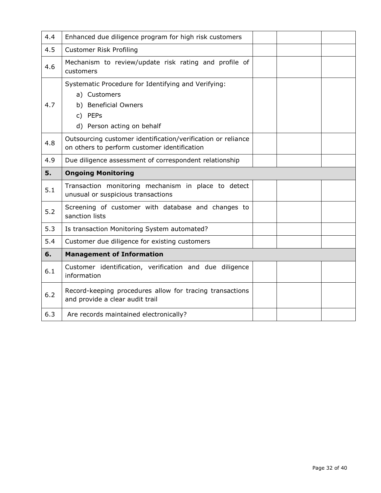| 4.4 | Enhanced due diligence program for high risk customers                                                                               |  |  |
|-----|--------------------------------------------------------------------------------------------------------------------------------------|--|--|
| 4.5 | <b>Customer Risk Profiling</b>                                                                                                       |  |  |
| 4.6 | Mechanism to review/update risk rating and profile of<br>customers                                                                   |  |  |
| 4.7 | Systematic Procedure for Identifying and Verifying:<br>a) Customers<br>b) Beneficial Owners<br>c) PEPs<br>d) Person acting on behalf |  |  |
| 4.8 | Outsourcing customer identification/verification or reliance<br>on others to perform customer identification                         |  |  |
| 4.9 | Due diligence assessment of correspondent relationship                                                                               |  |  |
| 5.  | <b>Ongoing Monitoring</b>                                                                                                            |  |  |
|     |                                                                                                                                      |  |  |
| 5.1 | Transaction monitoring mechanism in place to detect<br>unusual or suspicious transactions                                            |  |  |
| 5.2 | Screening of customer with database and changes to<br>sanction lists                                                                 |  |  |
| 5.3 | Is transaction Monitoring System automated?                                                                                          |  |  |
| 5.4 | Customer due diligence for existing customers                                                                                        |  |  |
| 6.  | <b>Management of Information</b>                                                                                                     |  |  |
| 6.1 | Customer identification, verification and due diligence<br>information                                                               |  |  |
| 6.2 | Record-keeping procedures allow for tracing transactions<br>and provide a clear audit trail                                          |  |  |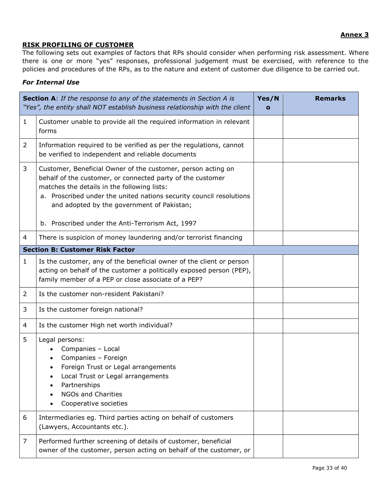# **RISK PROFILING OF CUSTOMER**

The following sets out examples of factors that RPs should consider when performing risk assessment. Where there is one or more "yes" responses, professional judgement must be exercised, with reference to the policies and procedures of the RPs, as to the nature and extent of customer due diligence to be carried out.

# *For Internal Use*

|                | <b>Section A:</b> If the response to any of the statements in Section A is<br>"Yes", the entity shall NOT establish business relationship with the client                                                                                                                                      | Yes/N<br>$\mathbf{o}$ | <b>Remarks</b> |
|----------------|------------------------------------------------------------------------------------------------------------------------------------------------------------------------------------------------------------------------------------------------------------------------------------------------|-----------------------|----------------|
| $\mathbf{1}$   | Customer unable to provide all the required information in relevant<br>forms                                                                                                                                                                                                                   |                       |                |
| 2              | Information required to be verified as per the regulations, cannot<br>be verified to independent and reliable documents                                                                                                                                                                        |                       |                |
| 3              | Customer, Beneficial Owner of the customer, person acting on<br>behalf of the customer, or connected party of the customer<br>matches the details in the following lists:<br>a. Proscribed under the united nations security council resolutions<br>and adopted by the government of Pakistan; |                       |                |
|                | b. Proscribed under the Anti-Terrorism Act, 1997                                                                                                                                                                                                                                               |                       |                |
| 4              | There is suspicion of money laundering and/or terrorist financing                                                                                                                                                                                                                              |                       |                |
|                | <b>Section B: Customer Risk Factor</b>                                                                                                                                                                                                                                                         |                       |                |
| $\mathbf{1}$   | Is the customer, any of the beneficial owner of the client or person<br>acting on behalf of the customer a politically exposed person (PEP),<br>family member of a PEP or close associate of a PEP?                                                                                            |                       |                |
| $\overline{2}$ | Is the customer non-resident Pakistani?                                                                                                                                                                                                                                                        |                       |                |
| 3              | Is the customer foreign national?                                                                                                                                                                                                                                                              |                       |                |
| 4              | Is the customer High net worth individual?                                                                                                                                                                                                                                                     |                       |                |
| 5              | Legal persons:<br>Companies - Local<br>Companies - Foreign<br>Foreign Trust or Legal arrangements<br>Local Trust or Legal arrangements<br>٠<br>Partnerships<br><b>NGOs and Charities</b><br>Cooperative societies                                                                              |                       |                |
| 6              | Intermediaries eg. Third parties acting on behalf of customers<br>(Lawyers, Accountants etc.).                                                                                                                                                                                                 |                       |                |
| 7              | Performed further screening of details of customer, beneficial<br>owner of the customer, person acting on behalf of the customer, or                                                                                                                                                           |                       |                |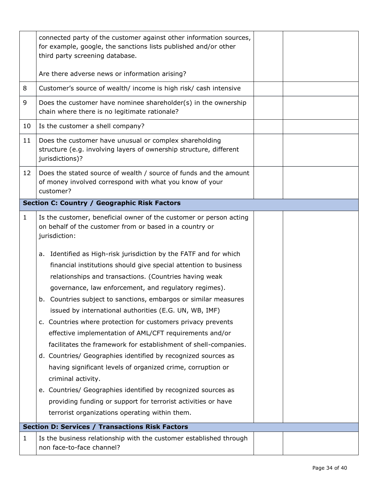|             | connected party of the customer against other information sources,<br>for example, google, the sanctions lists published and/or other<br>third party screening database.                                                                                                                                                                                                                                                                                                                                                                                                                                                                                                                                                                                                                                                                                                                                                      |  |
|-------------|-------------------------------------------------------------------------------------------------------------------------------------------------------------------------------------------------------------------------------------------------------------------------------------------------------------------------------------------------------------------------------------------------------------------------------------------------------------------------------------------------------------------------------------------------------------------------------------------------------------------------------------------------------------------------------------------------------------------------------------------------------------------------------------------------------------------------------------------------------------------------------------------------------------------------------|--|
|             | Are there adverse news or information arising?                                                                                                                                                                                                                                                                                                                                                                                                                                                                                                                                                                                                                                                                                                                                                                                                                                                                                |  |
| 8           | Customer's source of wealth/ income is high risk/ cash intensive                                                                                                                                                                                                                                                                                                                                                                                                                                                                                                                                                                                                                                                                                                                                                                                                                                                              |  |
| 9           | Does the customer have nominee shareholder(s) in the ownership<br>chain where there is no legitimate rationale?                                                                                                                                                                                                                                                                                                                                                                                                                                                                                                                                                                                                                                                                                                                                                                                                               |  |
| 10          | Is the customer a shell company?                                                                                                                                                                                                                                                                                                                                                                                                                                                                                                                                                                                                                                                                                                                                                                                                                                                                                              |  |
| 11          | Does the customer have unusual or complex shareholding<br>structure (e.g. involving layers of ownership structure, different<br>jurisdictions)?                                                                                                                                                                                                                                                                                                                                                                                                                                                                                                                                                                                                                                                                                                                                                                               |  |
| 12          | Does the stated source of wealth / source of funds and the amount<br>of money involved correspond with what you know of your<br>customer?                                                                                                                                                                                                                                                                                                                                                                                                                                                                                                                                                                                                                                                                                                                                                                                     |  |
|             | <b>Section C: Country / Geographic Risk Factors</b>                                                                                                                                                                                                                                                                                                                                                                                                                                                                                                                                                                                                                                                                                                                                                                                                                                                                           |  |
| $\mathbf 1$ | Is the customer, beneficial owner of the customer or person acting<br>on behalf of the customer from or based in a country or<br>jurisdiction:                                                                                                                                                                                                                                                                                                                                                                                                                                                                                                                                                                                                                                                                                                                                                                                |  |
|             | a. Identified as High-risk jurisdiction by the FATF and for which<br>financial institutions should give special attention to business<br>relationships and transactions. (Countries having weak<br>governance, law enforcement, and regulatory regimes).<br>b. Countries subject to sanctions, embargos or similar measures<br>issued by international authorities (E.G. UN, WB, IMF)<br>c. Countries where protection for customers privacy prevents<br>effective implementation of AML/CFT requirements and/or<br>facilitates the framework for establishment of shell-companies.<br>d. Countries/ Geographies identified by recognized sources as<br>having significant levels of organized crime, corruption or<br>criminal activity.<br>e. Countries/ Geographies identified by recognized sources as<br>providing funding or support for terrorist activities or have<br>terrorist organizations operating within them. |  |
|             | <b>Section D: Services / Transactions Risk Factors</b>                                                                                                                                                                                                                                                                                                                                                                                                                                                                                                                                                                                                                                                                                                                                                                                                                                                                        |  |
| 1           | Is the business relationship with the customer established through<br>non face-to-face channel?                                                                                                                                                                                                                                                                                                                                                                                                                                                                                                                                                                                                                                                                                                                                                                                                                               |  |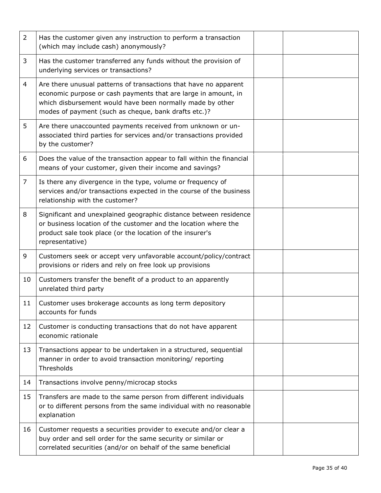| $\overline{2}$ | Has the customer given any instruction to perform a transaction<br>(which may include cash) anonymously?                                                                                                                                                |  |  |
|----------------|---------------------------------------------------------------------------------------------------------------------------------------------------------------------------------------------------------------------------------------------------------|--|--|
| 3              | Has the customer transferred any funds without the provision of<br>underlying services or transactions?                                                                                                                                                 |  |  |
| $\overline{4}$ | Are there unusual patterns of transactions that have no apparent<br>economic purpose or cash payments that are large in amount, in<br>which disbursement would have been normally made by other<br>modes of payment (such as cheque, bank drafts etc.)? |  |  |
| 5              | Are there unaccounted payments received from unknown or un-<br>associated third parties for services and/or transactions provided<br>by the customer?                                                                                                   |  |  |
| 6              | Does the value of the transaction appear to fall within the financial<br>means of your customer, given their income and savings?                                                                                                                        |  |  |
| $\overline{7}$ | Is there any divergence in the type, volume or frequency of<br>services and/or transactions expected in the course of the business<br>relationship with the customer?                                                                                   |  |  |
| 8              | Significant and unexplained geographic distance between residence<br>or business location of the customer and the location where the<br>product sale took place (or the location of the insurer's<br>representative)                                    |  |  |
| 9              | Customers seek or accept very unfavorable account/policy/contract<br>provisions or riders and rely on free look up provisions                                                                                                                           |  |  |
| 10             | Customers transfer the benefit of a product to an apparently<br>unrelated third party                                                                                                                                                                   |  |  |
| 11             | Customer uses brokerage accounts as long term depository<br>accounts for funds                                                                                                                                                                          |  |  |
| 12             | Customer is conducting transactions that do not have apparent<br>economic rationale                                                                                                                                                                     |  |  |
| 13             | Transactions appear to be undertaken in a structured, sequential<br>manner in order to avoid transaction monitoring/ reporting<br>Thresholds                                                                                                            |  |  |
| 14             | Transactions involve penny/microcap stocks                                                                                                                                                                                                              |  |  |
| 15             | Transfers are made to the same person from different individuals<br>or to different persons from the same individual with no reasonable<br>explanation                                                                                                  |  |  |
| 16             | Customer requests a securities provider to execute and/or clear a<br>buy order and sell order for the same security or similar or<br>correlated securities (and/or on behalf of the same beneficial                                                     |  |  |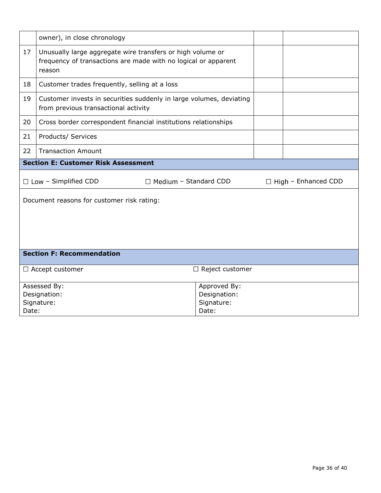| owner), in close chronology                                 |                                                                                                                                        |                        |                            |  |  |  |  |
|-------------------------------------------------------------|----------------------------------------------------------------------------------------------------------------------------------------|------------------------|----------------------------|--|--|--|--|
| 17                                                          | Unusually large aggregate wire transfers or high volume or<br>frequency of transactions are made with no logical or apparent<br>reason |                        |                            |  |  |  |  |
| 18                                                          | Customer trades frequently, selling at a loss                                                                                          |                        |                            |  |  |  |  |
| 19                                                          | Customer invests in securities suddenly in large volumes, deviating<br>from previous transactional activity                            |                        |                            |  |  |  |  |
| 20                                                          | Cross border correspondent financial institutions relationships                                                                        |                        |                            |  |  |  |  |
| 21                                                          | Products/ Services                                                                                                                     |                        |                            |  |  |  |  |
| 22                                                          | <b>Transaction Amount</b>                                                                                                              |                        |                            |  |  |  |  |
| <b>Section E: Customer Risk Assessment</b>                  |                                                                                                                                        |                        |                            |  |  |  |  |
| $\Box$ Low - Simplified CDD<br>$\Box$ Medium - Standard CDD |                                                                                                                                        |                        | $\Box$ High – Enhanced CDD |  |  |  |  |
|                                                             |                                                                                                                                        |                        |                            |  |  |  |  |
|                                                             | Document reasons for customer risk rating:                                                                                             |                        |                            |  |  |  |  |
|                                                             | <b>Section F: Recommendation</b>                                                                                                       |                        |                            |  |  |  |  |
|                                                             | $\Box$ Accept customer                                                                                                                 | $\Box$ Reject customer |                            |  |  |  |  |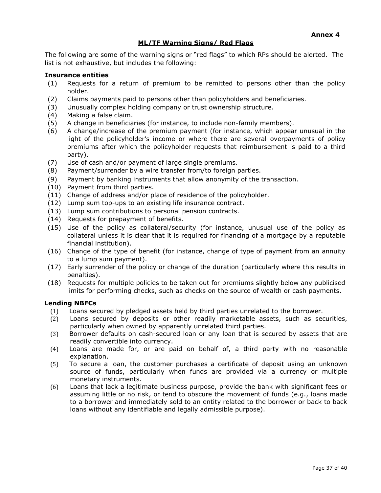# **ML/TF Warning Signs/ Red Flags**

The following are some of the warning signs or "red flags" to which RPs should be alerted. The list is not exhaustive, but includes the following:

### **Insurance entities**

- (1) Requests for a return of premium to be remitted to persons other than the policy holder.
- (2) Claims payments paid to persons other than policyholders and beneficiaries.
- (3) Unusually complex holding company or trust ownership structure.
- (4) Making a false claim.
- (5) A change in beneficiaries (for instance, to include non-family members).
- (6) A change/increase of the premium payment (for instance, which appear unusual in the light of the policyholder's income or where there are several overpayments of policy premiums after which the policyholder requests that reimbursement is paid to a third party).
- (7) Use of cash and/or payment of large single premiums.
- (8) Payment/surrender by a wire transfer from/to foreign parties.
- (9) Payment by banking instruments that allow anonymity of the transaction.
- (10) Payment from third parties.
- (11) Change of address and/or place of residence of the policyholder.
- (12) Lump sum top-ups to an existing life insurance contract.
- (13) Lump sum contributions to personal pension contracts.
- (14) Requests for prepayment of benefits.
- (15) Use of the policy as collateral/security (for instance, unusual use of the policy as collateral unless it is clear that it is required for financing of a mortgage by a reputable financial institution).
- (16) Change of the type of benefit (for instance, change of type of payment from an annuity to a lump sum payment).
- (17) Early surrender of the policy or change of the duration (particularly where this results in penalties).
- (18) Requests for multiple policies to be taken out for premiums slightly below any publicised limits for performing checks, such as checks on the source of wealth or cash payments.

### **Lending NBFCs**

- (1) Loans secured by pledged assets held by third parties unrelated to the borrower.
- (2) Loans secured by deposits or other readily marketable assets, such as securities, particularly when owned by apparently unrelated third parties.
- (3) Borrower defaults on cash-secured loan or any loan that is secured by assets that are readily convertible into currency.
- (4) Loans are made for, or are paid on behalf of, a third party with no reasonable explanation.
- (5) To secure a loan, the customer purchases a certificate of deposit using an unknown source of funds, particularly when funds are provided via a currency or multiple monetary instruments.
- (6) Loans that lack a legitimate business purpose, provide the bank with significant fees or assuming little or no risk, or tend to obscure the movement of funds (e.g., loans made to a borrower and immediately sold to an entity related to the borrower or back to back loans without any identifiable and legally admissible purpose).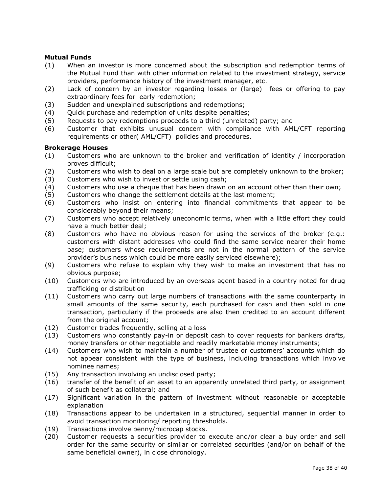### **Mutual Funds**

- (1) When an investor is more concerned about the subscription and redemption terms of the Mutual Fund than with other information related to the investment strategy, service providers, performance history of the investment manager, etc.
- (2) Lack of concern by an investor regarding losses or (large) fees or offering to pay extraordinary fees for early redemption;
- (3) Sudden and unexplained subscriptions and redemptions;
- (4) Quick purchase and redemption of units despite penalties;
- (5) Requests to pay redemptions proceeds to a third (unrelated) party; and
- (6) Customer that exhibits unusual concern with compliance with AML/CFT reporting requirements or other( AML/CFT) policies and procedures.

### **Brokerage Houses**

- (1) Customers who are unknown to the broker and verification of identity / incorporation proves difficult;
- (2) Customers who wish to deal on a large scale but are completely unknown to the broker;
- (3) Customers who wish to invest or settle using cash;
- (4) Customers who use a cheque that has been drawn on an account other than their own;
- (5) Customers who change the settlement details at the last moment;
- (6) Customers who insist on entering into financial commitments that appear to be considerably beyond their means;
- (7) Customers who accept relatively uneconomic terms, when with a little effort they could have a much better deal;
- (8) Customers who have no obvious reason for using the services of the broker (e.g.: customers with distant addresses who could find the same service nearer their home base; customers whose requirements are not in the normal pattern of the service provider's business which could be more easily serviced elsewhere);
- (9) Customers who refuse to explain why they wish to make an investment that has no obvious purpose;
- (10) Customers who are introduced by an overseas agent based in a country noted for drug trafficking or distribution
- (11) Customers who carry out large numbers of transactions with the same counterparty in small amounts of the same security, each purchased for cash and then sold in one transaction, particularly if the proceeds are also then credited to an account different from the original account;
- (12) Customer trades frequently, selling at a loss
- (13) Customers who constantly pay-in or deposit cash to cover requests for bankers drafts, money transfers or other negotiable and readily marketable money instruments;
- (14) Customers who wish to maintain a number of trustee or customers' accounts which do not appear consistent with the type of business, including transactions which involve nominee names;
- (15) Any transaction involving an undisclosed party;
- (16) transfer of the benefit of an asset to an apparently unrelated third party, or assignment of such benefit as collateral; and
- (17) Significant variation in the pattern of investment without reasonable or acceptable explanation
- (18) Transactions appear to be undertaken in a structured, sequential manner in order to avoid transaction monitoring/ reporting thresholds.
- (19) Transactions involve penny/microcap stocks.
- (20) Customer requests a securities provider to execute and/or clear a buy order and sell order for the same security or similar or correlated securities (and/or on behalf of the same beneficial owner), in close chronology.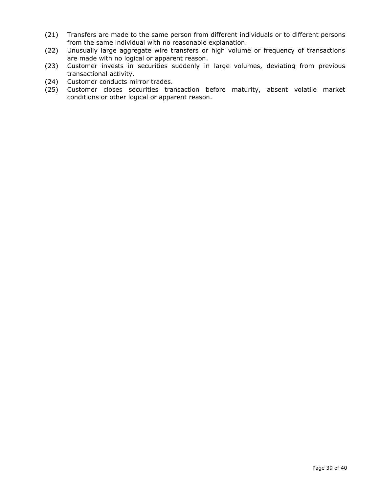- (21) Transfers are made to the same person from different individuals or to different persons from the same individual with no reasonable explanation.
- (22) Unusually large aggregate wire transfers or high volume or frequency of transactions are made with no logical or apparent reason.
- (23) Customer invests in securities suddenly in large volumes, deviating from previous transactional activity.
- (24) Customer conducts mirror trades.
- (25) Customer closes securities transaction before maturity, absent volatile market conditions or other logical or apparent reason.